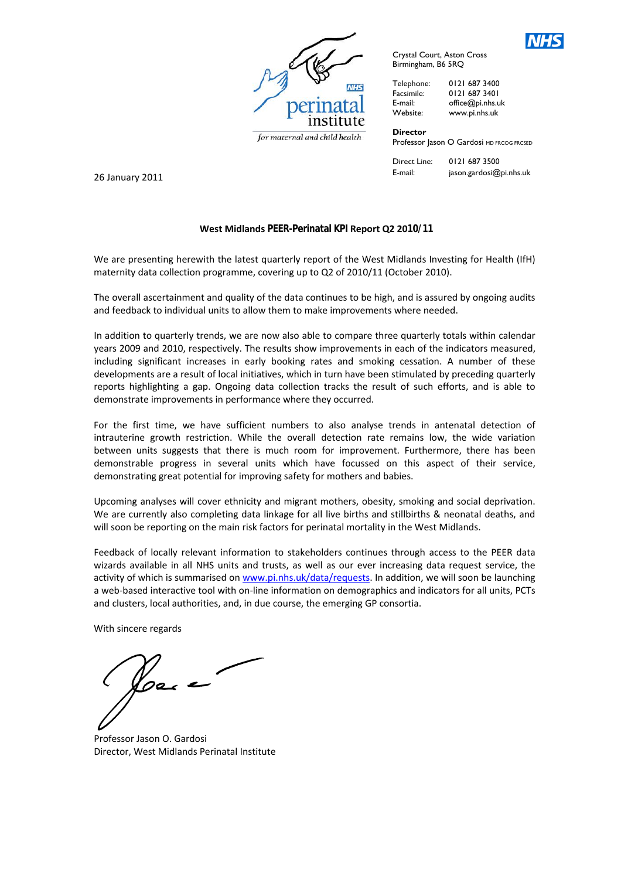

for maternal and child health

Crystal Court, Aston Cross Birmingham, B6 5RQ

Telephone: 0121 687 3400 Facsimile: 0121 687 3401<br>E-mail: office@pi.nhs.u Website: www.pi.nhs.uk

office@pi.nhs.uk

**Director**  Professor Jason O Gardosi MD FRCOG FRCSED

Direct Line: 0121 687 3500 E-mail: jason.gardosi@pi.nhs.uk 26 January 2011

## **West Midlands PEER-Perinatal KPI Report Q2 2010/11**

We are presenting herewith the latest quarterly report of the West Midlands Investing for Health (IfH) maternity data collection programme, covering up to Q2 of 2010/11 (October 2010).

The overall ascertainment and quality of the data continues to be high, and is assured by ongoing audits and feedback to individual units to allow them to make improvements where needed.

In addition to quarterly trends, we are now also able to compare three quarterly totals within calendar years 2009 and 2010, respectively. The results show improvements in each of the indicators measured, including significant increases in early booking rates and smoking cessation. A number of these developments are a result of local initiatives, which in turn have been stimulated by preceding quarterly reports highlighting a gap. Ongoing data collection tracks the result of such efforts, and is able to demonstrate improvements in performance where they occurred.

For the first time, we have sufficient numbers to also analyse trends in antenatal detection of intrauterine growth restriction. While the overall detection rate remains low, the wide variation between units suggests that there is much room for improvement. Furthermore, there has been demonstrable progress in several units which have focussed on this aspect of their service, demonstrating great potential for improving safety for mothers and babies.

Upcoming analyses will cover ethnicity and migrant mothers, obesity, smoking and social deprivation. We are currently also completing data linkage for all live births and stillbirths & neonatal deaths, and will soon be reporting on the main risk factors for perinatal mortality in the West Midlands.

Feedback of locally relevant information to stakeholders continues through access to the PEER data wizards available in all NHS units and trusts, as well as our ever increasing data request service, the activity of which is summarised on www.pi.nhs.uk/data/requests. In addition, we will soon be launching a web-based interactive tool with on-line information on demographics and indicators for all units, PCTs and clusters, local authorities, and, in due course, the emerging GP consortia.

With sincere regards

Vos

Professor Jason O. Gardosi Director, West Midlands Perinatal Institute

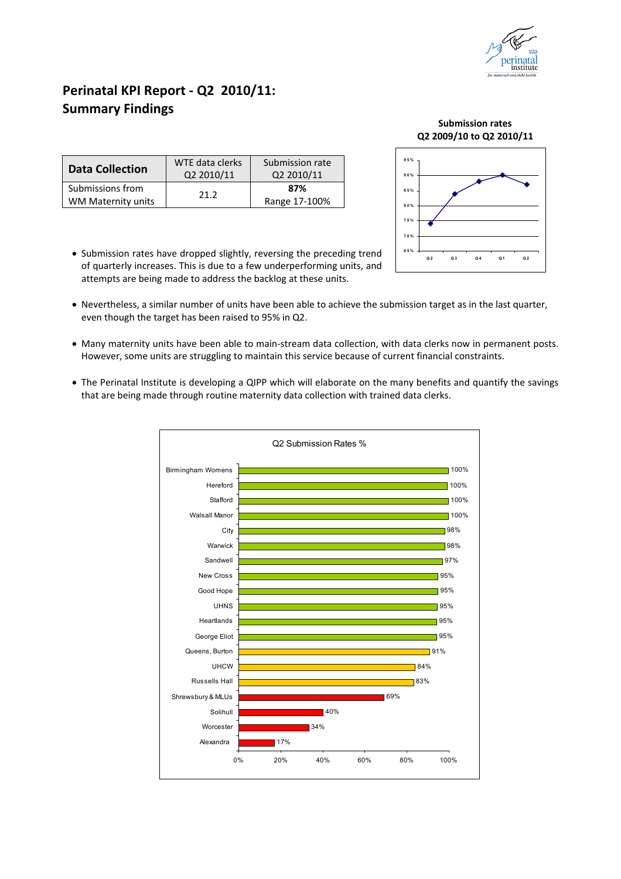

# **Perinatal KPI Report ‐ Q2 2010/11: Summary Findings**

## **Submission rates Q2 2009/10 to Q2 2010/11**



- **Data Collection** WTE data clerks Q2 2010/11 Submission rate Q2 2010/11 Submissions from Submissions from **87%**<br>WM Maternity units **21.2** Range 17-Range 17‐100%
	- Submission rates have dropped slightly, reversing the preceding trend of quarterly increases. This is due to a few underperforming units, and attempts are being made to address the backlog at these units.
	- Nevertheless, a similar number of units have been able to achieve the submission target as in the last quarter, even though the target has been raised to 95% in Q2.
	- Many maternity units have been able to main‐stream data collection, with data clerks now in permanent posts. However, some units are struggling to maintain this service because of current financial constraints.
	- The Perinatal Institute is developing a QIPP which will elaborate on the many benefits and quantify the savings that are being made through routine maternity data collection with trained data clerks.

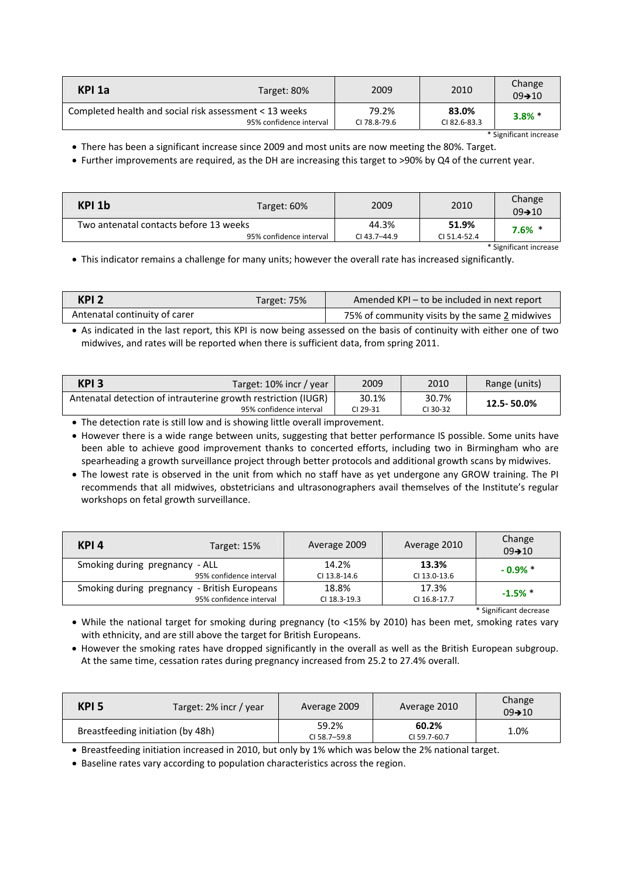| KPI 1a                                                 | Target: 80%             | 2009                  | 2010                  | Change<br>$09 \rightarrow 10$ |
|--------------------------------------------------------|-------------------------|-----------------------|-----------------------|-------------------------------|
| Completed health and social risk assessment < 13 weeks | 95% confidence interval | 79.2%<br>CI 78.8-79.6 | 83.0%<br>CI 82.6-83.3 | $3.8\%$ *                     |

\* Significant increase

• There has been a significant increase since 2009 and most units are now meeting the 80%. Target.

• Further improvements are required, as the DH are increasing this target to >90% by Q4 of the current year.

| KPI 1b                                 | Target: 60%             | 2009         | 2010         | Change<br>$09\rightarrow 10$ |
|----------------------------------------|-------------------------|--------------|--------------|------------------------------|
| Two antenatal contacts before 13 weeks |                         | 44.3%        | 51.9%        | $7.6\%$ *                    |
|                                        | 95% confidence interval | CI 43.7-44.9 | CI 51.4-52.4 |                              |

\* Significant increase

• This indicator remains a challenge for many units; however the overall rate has increased significantly.

| KPI <sub>2</sub>              | Target: 75% | Amended KPI – to be included in next report    |
|-------------------------------|-------------|------------------------------------------------|
| Antenatal continuity of carer |             | 75% of community visits by the same 2 midwives |
|                               |             |                                                |

• As indicated in the last report, this KPI is now being assessed on the basis of continuity with either one of two midwives, and rates will be reported when there is sufficient data, from spring 2011.

| KPI 3                                                         | 2009<br>Target: 10% incr / year     | 2010     | Range (units) |
|---------------------------------------------------------------|-------------------------------------|----------|---------------|
| Antenatal detection of intrauterine growth restriction (IUGR) | 30.1%                               | 30.7%    | 12.5-50.0%    |
|                                                               | 95% confidence interval<br>CI 29-31 | CI 30-32 |               |

• The detection rate is still low and is showing little overall improvement.

• However there is a wide range between units, suggesting that better performance IS possible. Some units have been able to achieve good improvement thanks to concerted efforts, including two in Birmingham who are spearheading a growth surveillance project through better protocols and additional growth scans by midwives.

• The lowest rate is observed in the unit from which no staff have as yet undergone any GROW training. The PI recommends that all midwives, obstetricians and ultrasonographers avail themselves of the Institute's regular workshops on fetal growth surveillance.

| KPI 4                                        | Target: 15%             | Average 2009 | Average 2010 | Change<br>$09 \rightarrow 10$ |
|----------------------------------------------|-------------------------|--------------|--------------|-------------------------------|
| Smoking during pregnancy - ALL               |                         | 14.2%        | 13.3%        | $-0.9%$ *                     |
|                                              | 95% confidence interval | CI 13.8-14.6 | CI 13.0-13.6 |                               |
| Smoking during pregnancy - British Europeans |                         | 18.8%        | 17.3%        | $-1.5%$ *                     |
|                                              | 95% confidence interval | CI 18.3-19.3 | CI 16.8-17.7 |                               |

\* Significant decrease

- While the national target for smoking during pregnancy (to <15% by 2010) has been met, smoking rates vary with ethnicity, and are still above the target for British Europeans.
- However the smoking rates have dropped significantly in the overall as well as the British European subgroup. At the same time, cessation rates during pregnancy increased from 25.2 to 27.4% overall.

| KPI 5 | Target: 2% incr / year            | Average 2009          | Average 2010          | Change<br>$09\rightarrow 10$ |
|-------|-----------------------------------|-----------------------|-----------------------|------------------------------|
|       | Breastfeeding initiation (by 48h) | 59.2%<br>CI 58.7-59.8 | 60.2%<br>CI 59.7-60.7 | 1.0%                         |

• Breastfeeding initiation increased in 2010, but only by 1% which was below the 2% national target.

• Baseline rates vary according to population characteristics across the region.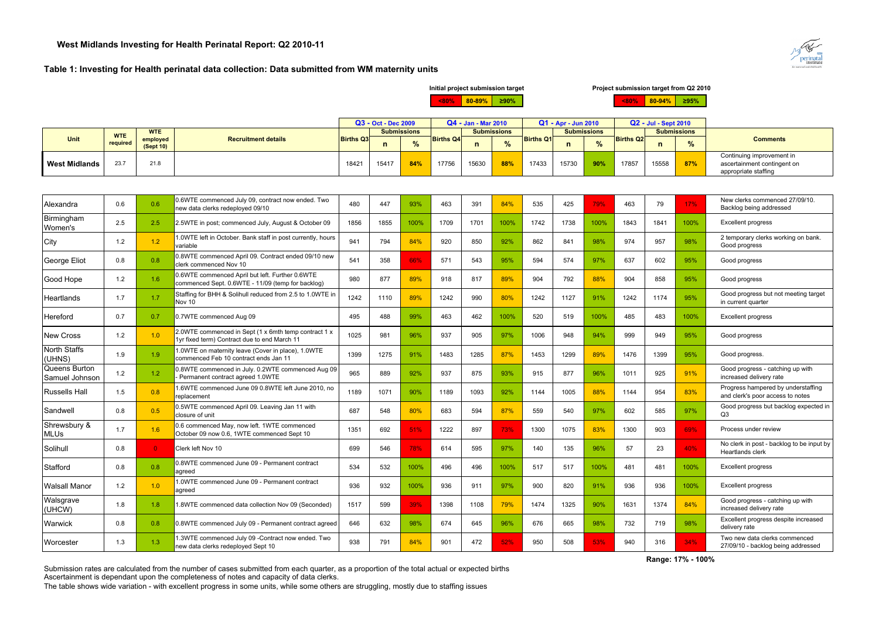**Table 1: Investing for Health perinatal data collection: Data submitted from WM maternity units**



**<80% 80-89%**

**Initial project submission target Project submission target from Q2 2010**

| $\%$ $\parallel$<br>≥90% | $\sim$ 30% 80-94% 295% |  |  |  |
|--------------------------|------------------------|--|--|--|
|--------------------------|------------------------|--|--|--|

|               |            |                       |                            |                                       | Q3 - Oct - Dec 2009 |                    |       | Q4 - Jan - Mar 2010 |                  |       | Q1 - Apr - Jun 2010 |                  |       | Q2 - Jul - Sept 2010 |                 |                                                                                  |  |
|---------------|------------|-----------------------|----------------------------|---------------------------------------|---------------------|--------------------|-------|---------------------|------------------|-------|---------------------|------------------|-------|----------------------|-----------------|----------------------------------------------------------------------------------|--|
|               | <b>WTE</b> | <b>WTE</b>            |                            |                                       |                     | <b>Submissions</b> |       | <b>Submissions</b>  |                  |       | <b>Submissions</b>  |                  |       | <b>Submissions</b>   |                 |                                                                                  |  |
| <b>Unit</b>   | required   | employed<br>(Sept 10) | <b>Recruitment details</b> | <b>Births Q3</b><br>$\mathbf{a}$<br>n |                     | <b>Births Q4</b>   | n     | $O_{\alpha}$        | <b>Births Q1</b> |       | $\frac{9}{6}$       | <b>Births Q2</b> | n     | $\frac{9}{6}$        | <b>Comments</b> |                                                                                  |  |
| West Midlands | 23.7       | 21.8                  |                            | 18421                                 | 15417               | 84%                | 17756 | 15630               | 88%              | 17433 | 15730               | 90%              | 17857 | 15558                | 87%             | Continuing improvement in<br>ascertainment contingent on<br>appropriate staffing |  |

| Alexandra                       | 0.6 | 0.6      | 0.6WTE commenced July 09, contract now ended. Two<br>new data clerks redeployed 09/10                | 480  | 447  | 93%  | 463  | 391  | 84%  | 535  | 425  | 79%  | 463  | 79   | 17%  | New clerks commenced 27/09/10.<br>Backlog being addressed              |
|---------------------------------|-----|----------|------------------------------------------------------------------------------------------------------|------|------|------|------|------|------|------|------|------|------|------|------|------------------------------------------------------------------------|
| Birmingham<br>Women's           | 2.5 | 2.5      | 2.5WTE in post; commenced July, August & October 09                                                  | 1856 | 1855 | 100% | 1709 | 1701 | 100% | 1742 | 1738 | 100% | 1843 | 1841 | 100% | <b>Excellent progress</b>                                              |
| City                            | 1.2 | 1.2      | 1.0WTE left in October. Bank staff in post currently, hours<br>variable                              | 941  | 794  | 84%  | 920  | 850  | 92%  | 862  | 841  | 98%  | 974  | 957  | 98%  | 2 temporary clerks working on bank.<br>Good progress                   |
| George Eliot                    | 0.8 | 0.8      | 0.8WTE commenced April 09. Contract ended 09/10 new<br>clerk commenced Nov 10                        | 541  | 358  | 66%  | 571  | 543  | 95%  | 594  | 574  | 97%  | 637  | 602  | 95%  | Good progress                                                          |
| Good Hope                       | 1.2 | 1.6      | 0.6WTE commenced April but left. Further 0.6WTE<br>commenced Sept. 0.6WTE - 11/09 (temp for backlog) | 980  | 877  | 89%  | 918  | 817  | 89%  | 904  | 792  | 88%  | 904  | 858  | 95%  | Good progress                                                          |
| Heartlands                      | 1.7 | 1.7      | Staffing for BHH & Solihull reduced from 2.5 to 1.0WTE in<br>Nov 10                                  | 1242 | 1110 | 89%  | 1242 | 990  | 80%  | 1242 | 1127 | 91%  | 1242 | 1174 | 95%  | Good progress but not meeting target<br>in current quarter             |
| <b>Hereford</b>                 | 0.7 | 0.7      | 0.7WTE commenced Aug 09                                                                              | 495  | 488  | 99%  | 463  | 462  | 100% | 520  | 519  | 100% | 485  | 483  | 100% | <b>Excellent progress</b>                                              |
| <b>New Cross</b>                | 1.2 | 1.0      | 2.0WTE commenced in Sept (1 x 6mth temp contract 1 x<br>1yr fixed term) Contract due to end March 11 | 1025 | 981  | 96%  | 937  | 905  | 97%  | 1006 | 948  | 94%  | 999  | 949  | 95%  | Good progress                                                          |
| North Staffs<br>(UHNS)          | 1.9 | 1.9      | 1.0WTE on maternity leave (Cover in place), 1.0WTE<br>commenced Feb 10 contract ends Jan 11          | 1399 | 1275 | 91%  | 1483 | 1285 | 87%  | 1453 | 1299 | 89%  | 1476 | 1399 | 95%  | Good progress.                                                         |
| Queens Burton<br>Samuel Johnson | 1.2 | 1.2      | 0.8WTE commenced in July. 0.2WTE commenced Aug 09<br>- Permanent contract agreed 1.0WTE              | 965  | 889  | 92%  | 937  | 875  | 93%  | 915  | 877  | 96%  | 1011 | 925  | 91%  | Good progress - catching up with<br>increased delivery rate            |
| <b>Russells Hall</b>            | 1.5 | 0.8      | 1.6WTE commenced June 09 0.8WTE left June 2010, no<br>replacement                                    | 1189 | 1071 | 90%  | 1189 | 1093 | 92%  | 1144 | 1005 | 88%  | 1144 | 954  | 83%  | Progress hampered by understaffing<br>and clerk's poor access to notes |
| Sandwell                        | 0.8 | 0.5      | 0.5WTE commenced April 09. Leaving Jan 11 with<br>closure of unit                                    | 687  | 548  | 80%  | 683  | 594  | 87%  | 559  | 540  | 97%  | 602  | 585  | 97%  | Good progress but backlog expected in<br>O <sub>3</sub>                |
| Shrewsbury &<br><b>MLUs</b>     | 1.7 | 1.6      | 0.6 commenced May, now left. 1WTE commenced<br>October 09 now 0.6, 1WTE commenced Sept 10            | 1351 | 692  | 51%  | 1222 | 897  | 73%  | 1300 | 1075 | 83%  | 1300 | 903  | 69%  | Process under review                                                   |
| Solihull                        | 0.8 | $\Omega$ | Clerk left Nov 10                                                                                    | 699  | 546  | 78%  | 614  | 595  | 97%  | 140  | 135  | 96%  | 57   | 23   | 40%  | No clerk in post - backlog to be input by<br>Heartlands clerk          |
| Stafford                        | 0.8 | 0.8      | 0.8WTE commenced June 09 - Permanent contract<br>agreed                                              | 534  | 532  | 100% | 496  | 496  | 100% | 517  | 517  | 100% | 481  | 481  | 100% | <b>Excellent progress</b>                                              |
| <b>Walsall Manor</b>            | 1.2 | 1.0      | 1.0WTE commenced June 09 - Permanent contract<br>agreed                                              | 936  | 932  | 100% | 936  | 911  | 97%  | 900  | 820  | 91%  | 936  | 936  | 100% | <b>Excellent progress</b>                                              |
| Walsgrave<br>(UHCW)             | 1.8 | 1.8      | 1.8WTE commenced data collection Nov 09 (Seconded)                                                   | 1517 | 599  | 39%  | 1398 | 1108 | 79%  | 1474 | 1325 | 90%  | 1631 | 1374 | 84%  | Good progress - catching up with<br>increased delivery rate            |
| Warwick                         | 0.8 | 0.8      | 0.8WTE commenced July 09 - Permanent contract agreed                                                 | 646  | 632  | 98%  | 674  | 645  | 96%  | 676  | 665  | 98%  | 732  | 719  | 98%  | Excellent progress despite increased<br>delivery rate                  |
| Worcester                       | 1.3 | 1.3      | 1.3WTE commenced July 09 -Contract now ended. Two<br>new data clerks redeployed Sept 10              | 938  | 791  | 84%  | 901  | 472  | 52%  | 950  | 508  | 53%  | 940  | 316  | 34%  | Two new data clerks commenced<br>27/09/10 - backlog being addressed    |

Submission rates are calculated from the number of cases submitted from each quarter, as a proportion of the total actual or expected births Ascertainment is dependant upon the completeness of notes and capacity of data clerks.

The table shows wide variation - with excellent progress in some units, while some others are struggling, mostly due to staffing issues

**Range: 17% - 100%**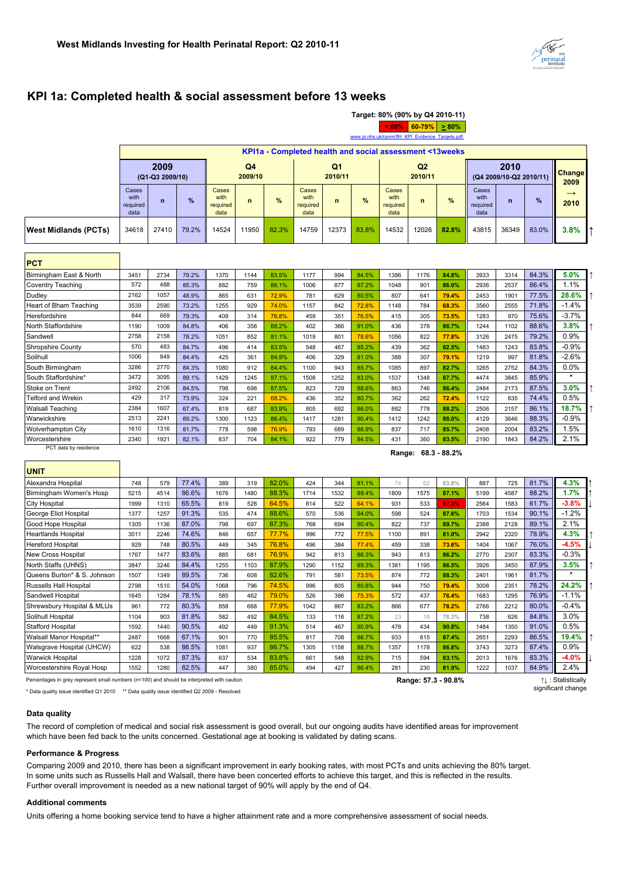

## **KPI 1a: Completed health & social assessment before 13 weeks**

|                             |                           |                         |       |                           |               |                                                         |                           |               |       |                                                 |                           | Target: 80% (90% by Q4 2010-11) |                           |                                 |       |                               |
|-----------------------------|---------------------------|-------------------------|-------|---------------------------|---------------|---------------------------------------------------------|---------------------------|---------------|-------|-------------------------------------------------|---------------------------|---------------------------------|---------------------------|---------------------------------|-------|-------------------------------|
|                             |                           |                         |       |                           |               |                                                         |                           |               |       | < 60%                                           | 60-79%                    | $> 80\%$                        |                           |                                 |       |                               |
|                             |                           |                         |       |                           |               | KPI1a - Completed health and social assessment <13weeks |                           |               |       | www.pi.nhs.uk/rpnm/lfH_KPI_Evidence_Targets.pdf |                           |                                 |                           |                                 |       |                               |
|                             |                           | 2009<br>(Q1-Q3 2009/10) |       |                           | Q4<br>2009/10 |                                                         |                           | Q1<br>2010/11 |       |                                                 | Q <sub>2</sub><br>2010/11 |                                 |                           | 2010<br>(Q4 2009/10-Q2 2010/11) |       | Change                        |
|                             | Cases<br>with<br>required | $\mathsf{n}$            | %     | Cases<br>with<br>required | $\mathsf{n}$  | %                                                       | Cases<br>with<br>required | $\mathbf n$   | %     | Cases<br>with<br>required                       | $\mathbf n$               | %                               | Cases<br>with<br>required | n                               | %     | 2009<br>$\rightarrow$<br>2010 |
| <b>West Midlands (PCTs)</b> | data<br>34618             | 27410                   | 79.2% | data<br>14524             | 11950         | 82.3%                                                   | data<br>14759             | 12373         | 83.8% | data<br>14532                                   | 12026                     | 82.8%                           | data<br>43815             | 36349                           | 83.0% | 3.8%                          |
| <b>PCT</b>                  |                           |                         |       |                           |               |                                                         |                           |               |       |                                                 |                           |                                 |                           |                                 |       |                               |
| Birmingham East & North     | 3451                      | 2734                    | 79.2% | 1370                      | 1144          | 83.5%                                                   | 1177                      | 994           | 84.5% | 1386                                            | 1176                      | 84.8%                           | 3933                      | 3314                            | 84.3% | 5.0%                          |
|                             | 572                       | 488                     | 85.3% | 882                       | 759           | 86.1%                                                   | 1006                      | 877           | 87.2% | 1048                                            | 901                       | 86.0%                           | 2936                      | 2537                            | 86.4% | 1.1%                          |
| Coventry Teaching<br>Dudley | 2162                      | 1057                    | 48.9% | 865                       | 631           | 72.9%                                                   | 781                       | 629           | 80.5% | 807                                             | 641                       | 79.4%                           | 2453                      | 1901                            | 77.5% | 28.6%                         |
| Heart of Bham Teaching      | 3539                      | 2590                    | 73.2% | 1255                      | 929           | 74.0%                                                   | 1157                      | 842           | 72.8% | 1148                                            | 784                       | 68.3%                           | 3560                      | 2555                            | 71.8% | $-1.4%$                       |
| Herefordshire               | 844                       | 669                     | 79.3% | 409                       | 314           | 76.8%                                                   | 459                       | 351           | 76.5% | 415                                             | 305                       | 73.5%                           | 1283                      | 970                             | 75.6% | $-3.7%$                       |
| North Staffordshire         | 1190                      | 1009                    | 84.8% | 406                       |               | 88.2%                                                   | 402                       |               | 91.0% | 436                                             |                           |                                 | 1244                      |                                 | 88.6% | 3.8%                          |
|                             | 2758                      |                         |       |                           | 358           |                                                         |                           | 366           |       |                                                 | 378                       | 86.7%                           |                           | 1102                            | 79.2% |                               |
| Sandwell                    |                           | 2158                    | 78.2% | 1051                      | 852           | 81.1%                                                   | 1019                      | 801           | 78.6% | 1056                                            | 822                       | 77.8%                           | 3126                      | 2475                            |       | 0.9%                          |
| <b>Shropshire County</b>    | 570                       | 483                     | 84.7% | 496                       | 414           | 83.5%                                                   | 548                       | 467           | 85.2% | 439                                             | 362                       | 82.5%                           | 1483                      | 1243                            | 83.8% | $-0.9%$                       |
| Solihull                    | 1006                      | 849                     | 84.4% | 425                       | 361           | 84.9%                                                   | 406                       | 329           | 81.0% | 388                                             | 307                       | 79.1%                           | 1219                      | 997                             | 81.8% | $-2.6%$                       |
| South Birmingham            | 3286                      | 2770                    | 84.3% | 1080                      | 912           | 84.4%                                                   | 1100                      | 943           | 85.7% | 1085                                            | 897                       | 82.7%                           | 3265                      | 2752                            | 84.3% | 0.0%                          |
| South Staffordshire*        | 3472                      | 3095                    | 89.1% | 1429                      | 1245          | 87.1%                                                   | 1508                      | 1252          | 83.0% | 1537                                            | 1348                      | 87.7%                           | 4474                      | 3845                            | 85.9% |                               |
| Stoke on Trent              | 2492                      | 2106                    | 84.5% | 798                       | 698           | 87.5%                                                   | 823                       | 729           | 88.6% | 863                                             | 746                       | 86.4%                           | 2484                      | 2173                            | 87.5% | 3.0%                          |
| <b>Telford and Wrekin</b>   | 429                       | 317                     | 73.9% | 324                       | 221           | 68.2%                                                   | 436                       | 352           | 80.7% | 362                                             | 262                       | 72.4%                           | 1122                      | 835                             | 74.4% | 0.5%                          |
| <b>Walsall Teaching</b>     | 2384                      | 1607                    | 67.4% | 819                       | 687           | 83.9%                                                   | 805                       | 692           | 86.0% | 882                                             | 778                       | 88.2%                           | 2506                      | 2157                            | 86.1% | 18.7%                         |
| Warwickshire                | 2513                      | 2241                    | 89.2% | 1300                      | 1123          | 86.4%                                                   | 1417                      | 1281          | 90.4% | 1412                                            | 1242                      | 88.0%                           | 4129                      | 3646                            | 88.3% | $-0.9\%$                      |
| Wolverhampton City          | 1610                      | 1316                    | 81.7% | 778                       | 598           | 76.9%                                                   | 793                       | 689           | 86.9% | 837                                             | 717                       | 85.7%                           | 2408                      | 2004                            | 83.2% | 1.5%                          |
| Worcestershire              | 2340                      | 1921                    | 82.1% | 837                       | 704           | 84.1%                                                   | 922                       | 779           | 84.5% | 431                                             | 360                       | 83.5%                           | 2190                      | 1843                            | 84.2% | 2.1%                          |
| PCT data by residence       |                           |                         |       |                           |               |                                                         |                           |               |       |                                                 | Range: 68.3 - 88.2%       |                                 |                           |                                 |       |                               |
| <b>UNIT</b>                 |                           |                         |       |                           |               |                                                         |                           |               |       |                                                 |                           |                                 |                           |                                 |       |                               |
| Alexandra Hospital          | 748                       | 579                     | 77.4% | 389                       | 319           | 82.0%                                                   | 424                       | 344           | 81.1% | 74                                              | 62                        | 83.8%                           | 887                       | 725                             | 81.7% | 4.3%                          |
| Birmingham Women's Hosp     | 5215                      | 4514                    | 86.6% | 1676                      | 1480          | 88.3%                                                   | 1714                      | 1532          | 89.4% | 1809                                            | 1575                      | 87.1%                           | 5199                      | 4587                            | 88.2% | 1.7%                          |
| <b>City Hospital</b>        | 1999                      | 1310                    | 65.5% | 819                       | 528           | 64.5%                                                   | 814                       | 522           | 64.1% | 931                                             | 533                       | 57.3%                           | 2564                      | 1583                            | 61.7% | $-3.8%$                       |
| George Eliot Hospital       | 1377                      | 1257                    | 91.3% | 535                       | 474           | 88.6%                                                   | 570                       | 536           | 94.0% | 598                                             | 524                       | 87.6%                           | 1703                      | 1534                            | 90.1% | $-1.2%$                       |
| Good Hope Hospital          | 1305                      | 1136                    | 87.0% | 798                       | 697           | 87.3%                                                   | 768                       | 694           | 90.4% | 822                                             | 737                       | 89.7%                           | 2388                      | 2128                            | 89.1% | 2.1%                          |
| Heartlands Hospital         | 3011                      | 2246                    | 74.6% | 846                       | 657           | 77.7%                                                   | 996                       | 772           | 77.5% | 1100                                            | 891                       | 81.0%                           | 2942                      | 2320                            | 78.9% | 4.3%                          |
| <b>Hereford Hospital</b>    | 929                       | 748                     | 80.5% | 449                       | 345           | 76.8%                                                   | 496                       | 384           | 77.4% | 459                                             | 338                       | 73.6%                           | 1404                      | 1067                            | 76.0% | $-4.5%$                       |
| <b>New Cross Hospital</b>   | 1767                      | 1477                    | 83.6% | 885                       | 681           | 76.9%                                                   | 942                       | 813           | 86.3% | 943                                             | 813                       | 86.2%                           | 2770                      | 2307                            | 83.3% | $-0.3%$                       |
| North Staffs (UHNS)         | 3847                      | 3246                    | 84.4% | 1255                      | 1103          | 87.9%                                                   | 1290                      | 1152          | 89.3% | 1381                                            | 1195                      | 86.5%                           | 3926                      | 3450                            | 87.9% | 3.5%                          |
| Queens Burton* & S. Johnson | 1507                      | 1349                    | 89.5% | 736                       | 608           | 82.6%                                                   | 791                       | 581           | 73.5% | 874                                             | 772                       | 88.3%                           | 2401                      | 1961                            | 81.7% | $\star$                       |
| Russells Hall Hospital      | 2798                      | 1510                    | 54.0% | 1068                      | 796           | 74.5%                                                   | 996                       | 805           | 80.8% | 944                                             | 750                       | 79.4%                           | 3008                      | 2351                            | 78.2% | 24.2%                         |
| Sandwell Hospital           | 1645                      | 1284                    | 78.1% | 585                       | 462           | 79.0%                                                   | 526                       | 396           | 75.3% | 572                                             | 437                       | 76.4%                           | 1683                      | 1295                            | 76.9% | $-1.1%$                       |
| Shrewsbury Hospital & MLUs  | 961                       | 772                     | 80.3% | 858                       | 668           | 77.9%                                                   | 1042                      | 867           | 83.2% | 866                                             | 677                       | 78.2%                           | 2766                      | 2212                            | 80.0% | $-0.4\%$                      |
| Solihull Hospital           | 1104                      | 903                     | 81.8% | 582                       | 492           | 84.5%                                                   | 133                       | 116           | 87.2% | 23                                              | 18                        | 78.3%                           | 738                       | 626                             | 84.8% | 3.0%                          |
| <b>Stafford Hospital</b>    | 1592                      | 1440                    | 90.5% | 492                       | 449           | 91.3%                                                   | 514                       | 467           | 90.9% | 478                                             | 434                       | 90.8%                           | 1484                      | 1350                            | 91.0% | 0.5%                          |
| Walsall Manor Hospital**    | 2487                      | 1668                    | 67.1% | 901                       | 770           | 85.5%                                                   | 817                       | 708           | 86.7% | 933                                             | 815                       | 87.4%                           | 2651                      | 2293                            | 86.5% | 19.4%                         |
| Walsgrave Hospital (UHCW)   | 622                       | 538                     | 86.5% | 1081                      | 937           | 86.7%                                                   | 1305                      | 1158          | 88.7% | 1357                                            | 1178                      | 86.8%                           | 3743                      | 3273                            | 87.4% | 0.9%                          |
| <b>Warwick Hospital</b>     | 1228                      | 1072                    | 87.3% | 637                       | 534           | 83.8%                                                   | 661                       | 548           | 82.9% | 715                                             | 594                       | 83.1%                           | 2013                      | 1676                            | 83.3% | $-4.0%$                       |
| Worcestershire Royal Hosp   | 1552                      | 1280                    | 82.5% | 447                       | 380           | 85.0%                                                   | 494                       | 427           | 86.4% | 281                                             | 230                       | 81.9%                           | 1222                      | 1037                            | 84.9% | 2.4%                          |

Percentages in grey represent small numbers (n<100) and should be interpreted with caution

\* Data quality issue identified Q1 2010 \*\* Data quality issue identified Q2 2009 - Resolved

### **Data quality**

The record of completion of medical and social risk assessment is good overall, but our ongoing audits have identified areas for improvement which have been fed back to the units concerned. Gestational age at booking is validated by dating scans.

**Range: 57.3 - 90.8%**

↑↓ : Statistically significant change

### **Performance & Progress**

Comparing 2009 and 2010, there has been a significant improvement in early booking rates, with most PCTs and units achieving the 80% target. In some units such as Russells Hall and Walsall, there have been concerted efforts to achieve this target, and this is reflected in the results. Further overall improvement is needed as a new national target of 90% will apply by the end of Q4.

### **Additional comments**

Units offering a home booking service tend to have a higher attainment rate and a more comprehensive assessment of social needs.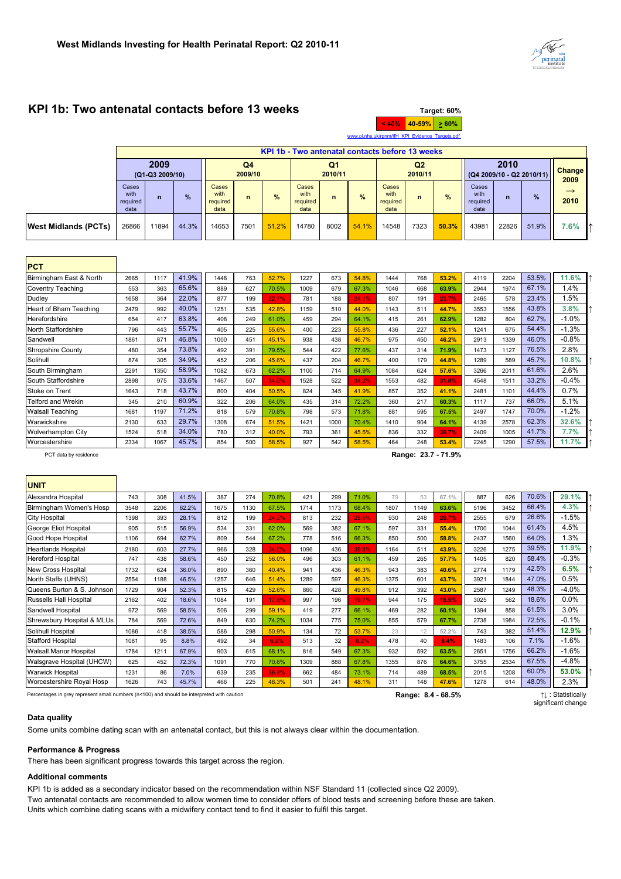## **KPI 1b: Two antenatal contacts before 13 weeks Target: 60%**

|                      |                                   |                         |       | www.pi.nhs.uk/rpnm/lfH KPI Evidence Targets.pdf |               |       |                                                 |                           |       |                                   |                           |               |                                   |                       |       |                       |  |
|----------------------|-----------------------------------|-------------------------|-------|-------------------------------------------------|---------------|-------|-------------------------------------------------|---------------------------|-------|-----------------------------------|---------------------------|---------------|-----------------------------------|-----------------------|-------|-----------------------|--|
|                      |                                   |                         |       |                                                 |               |       | KPI 1b - Two antenatal contacts before 13 weeks |                           |       |                                   |                           |               |                                   |                       |       |                       |  |
|                      |                                   | 2009<br>(Q1-Q3 2009/10) |       |                                                 | Q4<br>2009/10 |       |                                                 | Q <sub>1</sub><br>2010/11 |       |                                   | Q <sub>2</sub><br>2010/11 |               | (Q4 2009/10 - Q2 2010/11)         | <b>Change</b><br>2009 |       |                       |  |
|                      | Cases<br>with<br>required<br>data | $\mathsf{n}$            | $\%$  | Cases<br>with<br>required<br>data               | n             | $\%$  | Cases<br>with<br>required<br>data               | $\mathsf{n}$              | %     | Cases<br>with<br>required<br>data | n                         | $\frac{9}{6}$ | Cases<br>with<br>required<br>data | $\mathsf{n}$          | $\%$  | $\rightarrow$<br>2010 |  |
| West Midlands (PCTs) | 26866                             | 11894                   | 44.3% | 14653                                           | 7501          | 51.2% | 14780                                           | 8002                      | 54.1% | 14548                             | 7323                      | 50.3%         | 43981                             | 22826                 | 51.9% | 7.6%                  |  |

| <b>PCT</b>                |      |      |       |      |     |       |      |      |       |      |     |       |      |      |       |         |  |
|---------------------------|------|------|-------|------|-----|-------|------|------|-------|------|-----|-------|------|------|-------|---------|--|
| Birmingham East & North   | 2665 | 1117 | 41.9% | 1448 | 763 | 52.7% | 1227 | 673  | 54.8% | 1444 | 768 | 53.2% | 4119 | 2204 | 53.5% | 11.6%   |  |
| Coventry Teaching         | 553  | 363  | 65.6% | 889  | 627 | 70.5% | 1009 | 679  | 67.3% | 1046 | 668 | 63.9% | 2944 | 1974 | 67.1% | l.4%    |  |
| Dudley                    | 1658 | 364  | 22.0% | 877  | 199 | 22.7% | 781  | 188  | 24.1% | 807  | 191 | 23.7% | 2465 | 578  | 23.4% | .5%     |  |
| Heart of Bham Teaching    | 2479 | 992  | 40.0% | 1251 | 535 | 42.8% | 1159 | 510  | 44.0% | 1143 | 511 | 44.7% | 3553 | 1556 | 43.8% | 3.8%    |  |
| Herefordshire             | 654  | 417  | 63.8% | 408  | 249 | 61.0% | 459  | 294  | 64.1% | 415  | 261 | 62.9% | 1282 | 804  | 62.7% | $-1.0%$ |  |
| North Staffordshire       | 796  | 443  | 55.7% | 405  | 225 | 55.6% | 400  | 223  | 55.8% | 436  | 227 | 52.1% | 1241 | 675  | 54.4% | $-1.3%$ |  |
| Sandwell                  | 1861 | 871  | 46.8% | 1000 | 451 | 45.1% | 938  | 438  | 46.7% | 975  | 450 | 46.2% | 2913 | 1339 | 46.0% | $-0.8%$ |  |
| <b>Shropshire County</b>  | 480  | 354  | 73.8% | 492  | 391 | 79.5% | 544  | 422  | 77.6% | 437  | 314 | 71.9% | 1473 | 1127 | 76.5% | 2.8%    |  |
| Solihull                  | 874  | 305  | 34.9% | 452  | 206 | 45.6% | 437  | 204  | 46.7% | 400  | 179 | 44.8% | 1289 | 589  | 45.7% | 10.8%   |  |
| South Birmingham          | 2291 | 1350 | 58.9% | 1082 | 673 | 62.2% | 1100 | 714  | 64.9% | 1084 | 624 | 57.6% | 3266 | 2011 | 61.6% | 2.6%    |  |
| South Staffordshire       | 2898 | 975  | 33.6% | 1467 | 507 | 34.6% | 1528 | 522  | 34.2% | 1553 | 482 | 31.0% | 4548 | 1511 | 33.2% | $-0.4%$ |  |
| Stoke on Trent            | 1643 | 718  | 43.7% | 800  | 404 | 50.5% | 824  | 345  | 41.9% | 857  | 352 | 41.1% | 2481 | 1101 | 44.4% | 0.7%    |  |
| Telford and Wrekin        | 345  | 210  | 60.9% | 322  | 206 | 64.0% | 435  | 314  | 72.2% | 360  | 217 | 60.3% | 1117 | 737  | 66.0% | 5.1%    |  |
| <b>Walsall Teaching</b>   | 1681 | 1197 | 71.2% | 818  | 579 | 70.8% | 798  | 573  | 71.8% | 881  | 595 | 67.5% | 2497 | 1747 | 70.0% | $-1.2%$ |  |
| Warwickshire              | 2130 | 633  | 29.7% | 1308 | 674 | 51.5% | 1421 | 1000 | 70.4% | 1410 | 904 | 64.1% | 4139 | 2578 | 62.3% | 32.6%   |  |
| <b>Wolverhampton City</b> | 1524 | 518  | 34.0% | 780  | 312 | 40.0% | 793  | 361  | 45.5% | 836  | 332 | 39.7% | 2409 | 1005 | 41.7% | 7.7%    |  |
| Worcestershire            | 2334 | 1067 | 45.7% | 854  | 500 | 58.5% | 927  | 542  | 58.5% | 464  | 248 | 53.4% | 2245 | 1290 | 57.5% | 11.7%   |  |

PCT data by residence **Range: 23.7 - 71.9%**

 $\sim$  40%  $\left| 40 - 59\% \right| \geq 60\%$ 

 $\overline{\phantom{0}}$ 

| 70.6%<br>Alexandra Hospital<br>41.5%<br>421<br>887<br>743<br>308<br>387<br>274<br>70.8%<br>299<br>71.0%<br>79<br>53<br>67.1%<br>626<br>66.4%<br>Birmingham Women's Hosp<br>2206<br>62.2%<br>67.5%<br>1714<br>1173<br>1807<br>63.6%<br>5196<br>3452<br>3548<br>1675<br>1130<br>68.4%<br>1149<br>26.6%<br><b>City Hospital</b><br>1398<br>393<br>28.1%<br>812<br>199<br>24.5%<br>813<br>232<br>28.5%<br>930<br>248<br>26.7%<br>2555<br>679<br>61.4%<br>George Eliot Hospital<br>515<br>56.9%<br>534<br>331<br>62.0%<br>382<br>67.1%<br>597<br>331<br>55.4%<br>1700<br>905<br>569<br>1044<br>64.0%<br>67.2%<br>500<br>58.8%<br>2437<br>Good Hope Hospital<br>1106<br>694<br>62.7%<br>809<br>778<br>66.3%<br>850<br>1560<br>544<br>516<br>39.5%<br>27.7%<br>Heartlands Hospital<br>966<br>34.0%<br>39.8%<br>511<br>3226<br>1275<br>2180<br>603<br>328<br>1096<br>436<br>1164<br>43.9%<br>58.4%<br>Hereford Hospital<br>747<br>438<br>252<br>56.0%<br>61.1%<br>265<br>57.7%<br>820<br>58.6%<br>450<br>496<br>303<br>459<br>1405<br>42.5%<br>New Cross Hospital<br>1732<br>36.0%<br>46.3%<br>383<br>40.6%<br>2774<br>1179<br>624<br>890<br>360<br>40.4%<br>941<br>436<br>943<br>47.0%<br>North Staffs (UHNS)<br>2554<br>1188<br>46.5%<br>1257<br>646<br>51.4%<br>1289<br>597<br>46.3%<br>1375<br>601<br>43.7%<br>3921<br>1844<br>48.3%<br>Queens Burton & S. Johnson<br>2587<br>1729<br>904<br>815<br>52.6%<br>912<br>392<br>43.0%<br>52.3%<br>429<br>860<br>428<br>49.8%<br>1249<br>18.6%<br>Russells Hall Hospital<br>2162<br>402<br>18.6%<br>1084<br>191<br>17.6%<br>997<br>175<br>18.5%<br>3025<br>562<br>196<br>19.7%<br>944<br>61.5%<br>Sandwell Hospital<br>972<br>58.5%<br>299<br>59.1%<br>277<br>66.1%<br>282<br>60.1%<br>858<br>569<br>506<br>419<br>469<br>1394<br>72.5%<br>Shrewsbury Hospital & MLUs<br>579<br>67.7%<br>2738<br>784<br>569<br>72.6%<br>630<br>74.2%<br>1034<br>775<br>75.0%<br>855<br>1984<br>849<br>51.4%<br>382<br>Solihull Hospital<br>38.5%<br>50.9%<br>72<br>53.7%<br>12<br>52.2%<br>1086<br>418<br>586<br>298<br>134<br>23<br>743<br>7.1%<br>95<br><b>Stafford Hospital</b><br>8.8%<br>6.9%<br>6.2%<br>478<br>1483<br>106<br>1081<br>492<br>34<br>513<br>32<br>40<br>8.4%<br>66.2%<br>Walsall Manor Hospital<br>903<br>932<br>63.5%<br>2651<br>1756<br>1784<br>1211<br>67.9%<br>615<br>68.1%<br>816<br>67.3%<br>592<br>549<br>67.5%<br>Walsgrave Hospital (UHCW)<br>625<br>72.3%<br>1091<br>70.6%<br>67.8%<br>876<br>64.6%<br>3755<br>2534<br>452<br>770<br>1309<br>888<br>1355 | <b>UNIT</b>             |      |    |      |     |     |       |     |     |       |     |     |       |      |      |       |         |  |
|--------------------------------------------------------------------------------------------------------------------------------------------------------------------------------------------------------------------------------------------------------------------------------------------------------------------------------------------------------------------------------------------------------------------------------------------------------------------------------------------------------------------------------------------------------------------------------------------------------------------------------------------------------------------------------------------------------------------------------------------------------------------------------------------------------------------------------------------------------------------------------------------------------------------------------------------------------------------------------------------------------------------------------------------------------------------------------------------------------------------------------------------------------------------------------------------------------------------------------------------------------------------------------------------------------------------------------------------------------------------------------------------------------------------------------------------------------------------------------------------------------------------------------------------------------------------------------------------------------------------------------------------------------------------------------------------------------------------------------------------------------------------------------------------------------------------------------------------------------------------------------------------------------------------------------------------------------------------------------------------------------------------------------------------------------------------------------------------------------------------------------------------------------------------------------------------------------------------------------------------------------------------------------------------------------------------------------------------------------------------------------------------------------------------------------------------------------------------------------------------------------------|-------------------------|------|----|------|-----|-----|-------|-----|-----|-------|-----|-----|-------|------|------|-------|---------|--|
|                                                                                                                                                                                                                                                                                                                                                                                                                                                                                                                                                                                                                                                                                                                                                                                                                                                                                                                                                                                                                                                                                                                                                                                                                                                                                                                                                                                                                                                                                                                                                                                                                                                                                                                                                                                                                                                                                                                                                                                                                                                                                                                                                                                                                                                                                                                                                                                                                                                                                                              |                         |      |    |      |     |     |       |     |     |       |     |     |       |      |      |       | 29.1%   |  |
|                                                                                                                                                                                                                                                                                                                                                                                                                                                                                                                                                                                                                                                                                                                                                                                                                                                                                                                                                                                                                                                                                                                                                                                                                                                                                                                                                                                                                                                                                                                                                                                                                                                                                                                                                                                                                                                                                                                                                                                                                                                                                                                                                                                                                                                                                                                                                                                                                                                                                                              |                         |      |    |      |     |     |       |     |     |       |     |     |       |      |      |       | 4.3%    |  |
|                                                                                                                                                                                                                                                                                                                                                                                                                                                                                                                                                                                                                                                                                                                                                                                                                                                                                                                                                                                                                                                                                                                                                                                                                                                                                                                                                                                                                                                                                                                                                                                                                                                                                                                                                                                                                                                                                                                                                                                                                                                                                                                                                                                                                                                                                                                                                                                                                                                                                                              |                         |      |    |      |     |     |       |     |     |       |     |     |       |      |      |       | $-1.5%$ |  |
|                                                                                                                                                                                                                                                                                                                                                                                                                                                                                                                                                                                                                                                                                                                                                                                                                                                                                                                                                                                                                                                                                                                                                                                                                                                                                                                                                                                                                                                                                                                                                                                                                                                                                                                                                                                                                                                                                                                                                                                                                                                                                                                                                                                                                                                                                                                                                                                                                                                                                                              |                         |      |    |      |     |     |       |     |     |       |     |     |       |      |      |       | 4.5%    |  |
|                                                                                                                                                                                                                                                                                                                                                                                                                                                                                                                                                                                                                                                                                                                                                                                                                                                                                                                                                                                                                                                                                                                                                                                                                                                                                                                                                                                                                                                                                                                                                                                                                                                                                                                                                                                                                                                                                                                                                                                                                                                                                                                                                                                                                                                                                                                                                                                                                                                                                                              |                         |      |    |      |     |     |       |     |     |       |     |     |       |      |      |       | 1.3%    |  |
|                                                                                                                                                                                                                                                                                                                                                                                                                                                                                                                                                                                                                                                                                                                                                                                                                                                                                                                                                                                                                                                                                                                                                                                                                                                                                                                                                                                                                                                                                                                                                                                                                                                                                                                                                                                                                                                                                                                                                                                                                                                                                                                                                                                                                                                                                                                                                                                                                                                                                                              |                         |      |    |      |     |     |       |     |     |       |     |     |       |      |      |       | 11.9%   |  |
|                                                                                                                                                                                                                                                                                                                                                                                                                                                                                                                                                                                                                                                                                                                                                                                                                                                                                                                                                                                                                                                                                                                                                                                                                                                                                                                                                                                                                                                                                                                                                                                                                                                                                                                                                                                                                                                                                                                                                                                                                                                                                                                                                                                                                                                                                                                                                                                                                                                                                                              |                         |      |    |      |     |     |       |     |     |       |     |     |       |      |      |       | $-0.3%$ |  |
|                                                                                                                                                                                                                                                                                                                                                                                                                                                                                                                                                                                                                                                                                                                                                                                                                                                                                                                                                                                                                                                                                                                                                                                                                                                                                                                                                                                                                                                                                                                                                                                                                                                                                                                                                                                                                                                                                                                                                                                                                                                                                                                                                                                                                                                                                                                                                                                                                                                                                                              |                         |      |    |      |     |     |       |     |     |       |     |     |       |      |      |       | 6.5%    |  |
|                                                                                                                                                                                                                                                                                                                                                                                                                                                                                                                                                                                                                                                                                                                                                                                                                                                                                                                                                                                                                                                                                                                                                                                                                                                                                                                                                                                                                                                                                                                                                                                                                                                                                                                                                                                                                                                                                                                                                                                                                                                                                                                                                                                                                                                                                                                                                                                                                                                                                                              |                         |      |    |      |     |     |       |     |     |       |     |     |       |      |      |       | 0.5%    |  |
|                                                                                                                                                                                                                                                                                                                                                                                                                                                                                                                                                                                                                                                                                                                                                                                                                                                                                                                                                                                                                                                                                                                                                                                                                                                                                                                                                                                                                                                                                                                                                                                                                                                                                                                                                                                                                                                                                                                                                                                                                                                                                                                                                                                                                                                                                                                                                                                                                                                                                                              |                         |      |    |      |     |     |       |     |     |       |     |     |       |      |      |       | $-4.0%$ |  |
|                                                                                                                                                                                                                                                                                                                                                                                                                                                                                                                                                                                                                                                                                                                                                                                                                                                                                                                                                                                                                                                                                                                                                                                                                                                                                                                                                                                                                                                                                                                                                                                                                                                                                                                                                                                                                                                                                                                                                                                                                                                                                                                                                                                                                                                                                                                                                                                                                                                                                                              |                         |      |    |      |     |     |       |     |     |       |     |     |       |      |      |       | 0.0%    |  |
|                                                                                                                                                                                                                                                                                                                                                                                                                                                                                                                                                                                                                                                                                                                                                                                                                                                                                                                                                                                                                                                                                                                                                                                                                                                                                                                                                                                                                                                                                                                                                                                                                                                                                                                                                                                                                                                                                                                                                                                                                                                                                                                                                                                                                                                                                                                                                                                                                                                                                                              |                         |      |    |      |     |     |       |     |     |       |     |     |       |      |      |       | 3.0%    |  |
|                                                                                                                                                                                                                                                                                                                                                                                                                                                                                                                                                                                                                                                                                                                                                                                                                                                                                                                                                                                                                                                                                                                                                                                                                                                                                                                                                                                                                                                                                                                                                                                                                                                                                                                                                                                                                                                                                                                                                                                                                                                                                                                                                                                                                                                                                                                                                                                                                                                                                                              |                         |      |    |      |     |     |       |     |     |       |     |     |       |      |      |       | $-0.1%$ |  |
|                                                                                                                                                                                                                                                                                                                                                                                                                                                                                                                                                                                                                                                                                                                                                                                                                                                                                                                                                                                                                                                                                                                                                                                                                                                                                                                                                                                                                                                                                                                                                                                                                                                                                                                                                                                                                                                                                                                                                                                                                                                                                                                                                                                                                                                                                                                                                                                                                                                                                                              |                         |      |    |      |     |     |       |     |     |       |     |     |       |      |      |       | 12.9%   |  |
|                                                                                                                                                                                                                                                                                                                                                                                                                                                                                                                                                                                                                                                                                                                                                                                                                                                                                                                                                                                                                                                                                                                                                                                                                                                                                                                                                                                                                                                                                                                                                                                                                                                                                                                                                                                                                                                                                                                                                                                                                                                                                                                                                                                                                                                                                                                                                                                                                                                                                                              |                         |      |    |      |     |     |       |     |     |       |     |     |       |      |      |       | $-1.6%$ |  |
|                                                                                                                                                                                                                                                                                                                                                                                                                                                                                                                                                                                                                                                                                                                                                                                                                                                                                                                                                                                                                                                                                                                                                                                                                                                                                                                                                                                                                                                                                                                                                                                                                                                                                                                                                                                                                                                                                                                                                                                                                                                                                                                                                                                                                                                                                                                                                                                                                                                                                                              |                         |      |    |      |     |     |       |     |     |       |     |     |       |      |      |       | $-1.6%$ |  |
|                                                                                                                                                                                                                                                                                                                                                                                                                                                                                                                                                                                                                                                                                                                                                                                                                                                                                                                                                                                                                                                                                                                                                                                                                                                                                                                                                                                                                                                                                                                                                                                                                                                                                                                                                                                                                                                                                                                                                                                                                                                                                                                                                                                                                                                                                                                                                                                                                                                                                                              |                         |      |    |      |     |     |       |     |     |       |     |     |       |      |      |       | $-4.8%$ |  |
|                                                                                                                                                                                                                                                                                                                                                                                                                                                                                                                                                                                                                                                                                                                                                                                                                                                                                                                                                                                                                                                                                                                                                                                                                                                                                                                                                                                                                                                                                                                                                                                                                                                                                                                                                                                                                                                                                                                                                                                                                                                                                                                                                                                                                                                                                                                                                                                                                                                                                                              | <b>Warwick Hospital</b> | 1231 | 86 | 7.0% | 639 | 235 | 36.8% | 662 | 484 | 73.1% | 714 | 489 | 68.5% | 2015 | 1208 | 60.0% | 53.0%   |  |
| 48.0%<br>Worcestershire Royal Hosp<br>1626<br>45.7%<br>225<br>48.3%<br>311<br>148<br>1278<br>743<br>466<br>501<br>241<br>48.1%<br>47.6%<br>614                                                                                                                                                                                                                                                                                                                                                                                                                                                                                                                                                                                                                                                                                                                                                                                                                                                                                                                                                                                                                                                                                                                                                                                                                                                                                                                                                                                                                                                                                                                                                                                                                                                                                                                                                                                                                                                                                                                                                                                                                                                                                                                                                                                                                                                                                                                                                               |                         |      |    |      |     |     |       |     |     |       |     |     |       |      |      |       | 2.3%    |  |

Percentages in grey represent small numbers (n<100) and should be interpreted with caution **Range: 8.4 - 68.5%** 

↑↓ : Statistically significant change

### **Data quality**

Some units combine dating scan with an antenatal contact, but this is not always clear within the documentation.

### **Performance & Progress**

There has been significant progress towards this target across the region.

### **Additional comments**

KPI 1b is added as a secondary indicator based on the recommendation within NSF Standard 11 (collected since Q2 2009). Two antenatal contacts are recommended to allow women time to consider offers of blood tests and screening before these are taken. Units which combine dating scans with a midwifery contact tend to find it easier to fulfil this target.

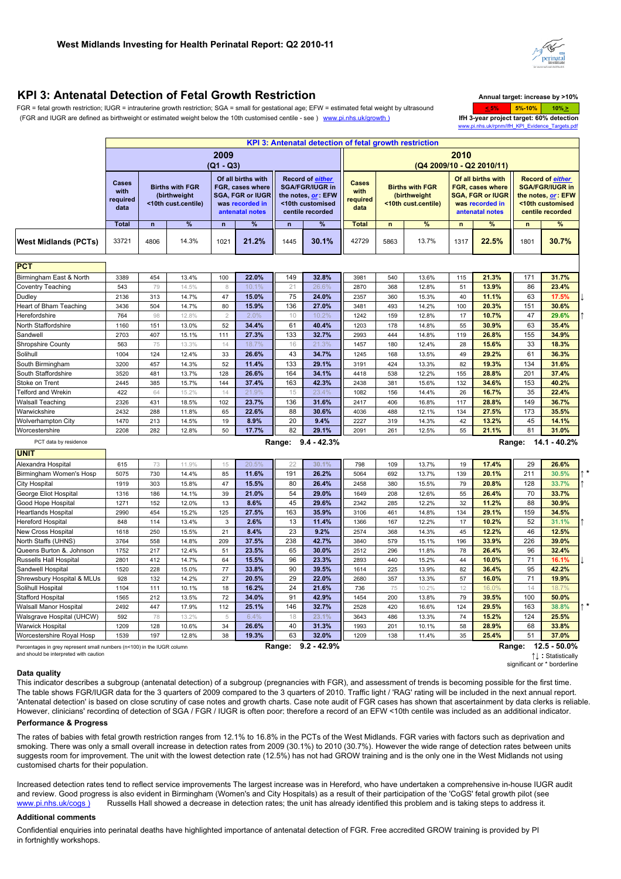

www.pi.nhs.uk/rpnm/IfH\_KPI\_Evidence\_Targets.pdf

**IfH 3-year project target: 60% detection** 

**< 5% 5%-10% 10% >**

**Annual target: increase by >10%**

## **KPI 3: Antenatal Detection of Fetal Growth Restriction**

FGR = fetal growth restriction; IUGR = intrauterine growth restriction; SGA = small for gestational age; EFW = estimated fetal weight by ultrasound (FGR and IUGR are defined as birthweight or estimated weight below the 10th customised centile - see ) www.pi.nhs.uk/growth )

n | % | n | % || n | % || <mark>Total | n | % || n | % || n</mark> **West Midlands (PCTs)** 33721 4806 14.3% 1021 21.2% 1445 30.1% 142729 5863 13.7% 1317 22.5% 15801 **PCT** Birmingham East & North 3389 454 13.4% 100 22.0% 149 32.8% 3981 540 13.6% 115 21.3% 171 **Coventry Teaching 19 8 43 61 8 79 14.5% 19 8 10.1% 21 26.6% 2870 368 12.8% 51 13.9% 1 86** Dudley 313 47 75 360 40 63 ↓ Heart of Bham Teaching 3436 504 14.7% 80 15.9% 136 27.0% 3481 493 14.2% 100 20.3% 151 Herefordshire 764 | 98 | 12.8% | 2 | 2.0% | 10 | 10.2% | 1242 | 159 | 12.8% | 17 <mark>| 10.7% |</mark> 47 <mark>| 29.6% |</mark>↑ North Staffordshire 1160 151 13.0% 52 34.4% 61 40.4% 1203 178 14.8% 55 30.9% 63 Sandwell | 2703 | 407 | 15.1% | 111 | **27.3% | 133 | 32.7% |** 2993 | 444 | 14.8% | 119 <mark>| 26.8% |</mark> 155 Shropshire County | 563 75 13.3% 14 18.7% 16 21.3% 1457 180 12.4% 28 15.6% 33 Solihull | 1004 | 124 | 12.4% | 33 | **26.6% |** 43 | **34.7% |**| 1245 | 168 | 13.5% | 49 <mark>| 29.2% |</mark>| 61 South Birmingham | 3200 | 457 | 14.3% | 52 **| 11.4% | 1**33 **| 29.1% |** 3191 | 424 | 13.3% | 82 <mark>| 19.3% |</mark> 134 South Staffordshire | 3520 | 481 | 13.7% | 128 | 26.6% | 164 | 34.1% || 4418 | 538 | 12.2% | 155 | 28.8% || 201 Stoke on Trent | 2445 | 385 | 15.7% | 144 | **37.4% | 163 | 42.3% |** 2438 | 381 | 15.6% | 132 <mark>| 34.6% |</mark> 153 Telford and Wrekin **422** 64 15.2% 14 21.9% 15 23.4% 1082 156 14.4% 26 16.7% 1 35 Walsall Teaching | 2326 | 431 | 18.5% | 102 <mark>| 23.7% | 136 | 31.6% |</mark> 2417 | 406 | 16.8% | 117 <mark> 28.8% </mark>| 149 Warwickshire | 2432 | 288 | 11.8% | 65 <mark>| 22.6% |</mark> 88 | 3**0.6% |**| 4036 | 488 | 12.1% | 134 <mark>| 27.5% |</mark>| 173 Wolverhampton City | 1470 | 213 | 14.5% | 19 | 8.9% | 20 | 9.4% | 2227 | 319 | 14.3% | 42 | 13.2% | 45 Worcestershire | 2208 | 282 | 12.8% | 50 **| 17.7% | 82 | 29.1% |** 2091 | 261 | 12.5% | 55 <mark>| 21.1% |</mark>| 81 PCT data by residence **Range: 9.4 - 42.3% Range: 14.1 - 40.2% UNIT** Alexandra Hospital | 615 | 73 | 11.9% | 15 | 20.5% | 22 | 30.1% | 798 | 109 | 13.7% | 19 | 17.4% | 29 Birmingham Women's Hosp 6075 730 14.4% 85 11.6% 191 26.2% 5064 692 13.7% 139 20.1% 211 30.5% City Hospital 303 47 80 380 79 128 **↑** George Eliot Hospital | 1316 | 186 | 14.1% | 39 | **21.0% ||** 54 | **29.0% ||** 1649 | 208 | 12.6% | 55 <mark>| 26.4% |</mark>| 70 Good Hope Hospital | 1271 | 152 | 12.0% | 13 | 8.6% | 45 | 29.6% | 2342 | 285 | 12.2% | 32 <mark>| 11.2% |</mark> 88 Heartlands Hospital | 2990 | 454 | 15.2% | 125 **| 27.5% | 163 | 35.9% |** 3106 | 461 | 14.8% | 134 | <mark>29.1% </mark>| 159 Hereford Hospital <mark>848</mark> | 114 | 13.4% | 3 | 2.6% || 13 | 11.4% || 1366 | 167 | 12.2% | 17 <mark>| 10.2% |</mark> 52 | 31.1% |↑ New Cross Hospital | 1618 | 250 | 15.5% | 21 **| 8.4% | 23 | 9.2% |** 2574 | 368 | 14.3% | 45 <mark>| 12.2% |</mark> 46 North Staffs (UHNS) | 3764 | 558 | 14.8% | 209 **| 37.5% | 238 | 42.7% |** 3840 | 579 | 15.1% | 196 <mark>| 33.9% |</mark> 226 Queens Burton &. Johnson | 1752 | 217 | 12.4% | 51 | **23.5% | 65 | 30.0% |** 2512 | 296 | 1.8% | 78 <mark>| 26.4% |</mark> 96 Russells Hall Hospital 2801 412 14.7% 64 15.5% 96 23.3% 2893 440 15.2% 44 10.0% 71 16.1%<br>Sandwell Hospital 1520 228 15.0% 77 33.8% 90 39.5% 1614 225 13.9% 82 36.4% 95 42.2% Sandwell Hospital | 1520 | 228 | 15.0% | 77 | **33.8% | 90 | 39.5% |** 1614 | 225 | 13.9% | 82 <mark>| 36.4% |</mark> 95 Shrewsbury Hospital & MLUs 328 329 324 27 20.5% 29 22.0% 2680 357 33% 57 16.0% 71 Solihull Hospital 1104 111 10.1% 18 **16.2% 24 21.6% 736 75 10.2%** 12 16.0% 14 Stafford Hospital | 1565 | 212 | 13.5% | 72 **| 34.0% | 91 | 42.9% |** 1454 | 200 | 13.8% | 79 <mark>| 39.5% |</mark> 100 Walsall Manor Hospital | 2492 | 447 | 17.9% | 112 **| 25.1% || 146 | 32.7% || 2**528 | 420 | 16.6% | 124 <mark>| 29.5% |</mark>| 163 | 38.8% |↑\* Walsgrave Hospital (UHCW) | 592 | 78 | 13.2% | 5 | 6.4% | 18 | 23.1% | 3643 | 486 | 13.3% | 74 | 15.2% | 124 Warwick Hospital | 1209 | 128 | 10.6% | 34 <mark>| 26.6% | 40 | 31.3% |</mark> 1993 | 201 | 10.1% | 58 <mark>| 28.9% |</mark>| 68 Worcestershire Royal Hosp | 1539 | 197 | 12.8% | 38 | 19.3% | 63 | 32.0% | 1209 | 138 | 11.4% | 35 | 25.4% | 51 Percentages in grey represent small numbers (n<100) in the IUGR column **Range: 9.2 - 42.9% Range: 12.5 - 50.0%** 2870 2357 12.8% **23.4%** 15.3% **17.5% 13.9% 11.1%** 3481 1242 14.8% 14.2% 2993 1457 1245 3191 4418  $2438$ 1082 2417 4036 2227 2091 **37.0%** 3643 13.3% **25.5%** 1993 201 10.1% 58 28.9% 68 33.8% **15.2% 28.9% 25.4%** 1454 200 13.8% 79 39.5% 1 100 50.0% 2528 16.6% **38.8% 39.5% 29.5%** 2680 13.3% **19.9% 736** 75 10.2% 12 16.0% 14 18.7% **16.0%** 16.0% 2893 15.2% **16.1%** 1614 13.9% **42.2% 10.0% 36.4%** 3840 15.1% **39.0%** 2512 11.8% **32.4% 33.9% 26.4%** 1366 167 12.2% 17 **10.2% 1 52 31.1%** 2574 14.3% **12.5% 10.2% 12.2%** 2342 12.2% **30.9%** 3106 | 461 | 14.8% | 134 <mark>| 29.1% |</mark> 159 <mark>| 34.5%</mark> **11.2% 29.1%** 2458 15.5% **33.7%** 1649 12.6% **33.7% 20.8% 26.4%** 798 13.7% **26.6%** 5064 13.7% **30.5% 17.4% 20.1%** 14.3% **14.1% 13.2%** 12.5% **31.0% 21.1%** 16.8% **117 28.8% 1 149 36.7%** 12.1% **35.5% 28.8% 27.5%** 15.6% **40.2%** 14.4% 26 16.7% 35 22.4% **34.6% 16.7%** 13.3% 82 **19.3% 134 31.6%** 12.2% **37.4% 19.3% 28.8%** 12.4% **28 15.6% 33 18.3%** 13.5% **49 29.2% 1 61 36.3% 15.6% 29.2% 35.4%** 14.8% **119 <mark>26.8%</mark> 155 34.9% 30.9% 26.8% 30.6%** 12.8% **29.6% 20.3% 10.7%** 13.7% | 1317 | 22.5% | 1801 | 30.7% 13.6% **31.7% 21.3% Total % % Births with FGR (birthweight <10th cust.centile) Of all births with FGR, cases where SGA, FGR or IUGR was recorded in antenatal notes % 2009 (Q1 - Q3) 2010 (Q4 2009/10 - Q2 2010/11) KPI 3: Antenatal detection of fetal growth restriction Record of** *either*  **SGA/FGR/IUGR in the notes,** *or***: EFW <10th customised centile recorded Cases with required data Births with FGR (birthweight <10th cust.centile) Record of** *either* **SGA/FGR/IUGR in the notes,** *or***: EFW <10th customised centile recorded Cases with required data Of all births with FGR, cases where SGA, FGR or IUGR was recorded in antenatal notes Total % %** 33721 14.3% **30.1% %** 42729 3389 | 454 | 13.4% | 100 **| 22.0% ||** 149 **| 32.8% ||** 3981 **21.2% 22.0% 543** 79 14.5% 8 10.1% 21 26.6% 2136 14.7% **24.0%** 10.1% **15.0%** 3436 14.7% **27.0% 764** 98 12.8% 2 2.0% 10 10.2% **15.9%** 2.0% 1160 151 13.0% 52 **34.4% 61 40.4%** 2703 407 15.1% 111 **27.3% 1** 133 **32.7% 34.4% 27.3% 563** 75 13.3% 14 18.7% 16 21.3% 1004 12.4% **34.7%** 18.7% **26.6%** 3200 14.3% **29.1%** 3520 13.7% **34.1% 11.4% 26.6%** 2445 15.7% **42.3% 422** 64 15.2% 14 21.9% 15 23.4% **37.4%** 21.9% 2326 431 18.5% 102 **23.7% 136 31.6%** 2432 11.8% **30.6% 23.7% 22.6%** 1470 213 14.5% 19 **8.9% 20 9.4%** 2208 12.8% **29.1% 8.9% 17.7%** 615 11.9% **30.1%** 5075 14.4% **26.2%** 20.5% **11.6%** 1919 15.8% **26.4%** 1316 | 186 | 14.1% | 39 **| 21.0% | 54 | 29.0% 15.5% 21.0%** 1271 152 12.0% 13 **8.6% 45 29.6%** 2990 15.2% **35.9% 8.6% 27.5%** 848 114 13.4% 3 **2.6% 1 13 11.4%** 1618 15.5% **9.2% 2.6% 8.4%** 3764 14.8% **42.7%** 1752 217 12.4% 51 **23.5% 65 30.0% 37.5% 23.5%** 2801 14.7% **23.3%** 1520 15.0% **39.5% 15.5% 33.8%** 928 14.2% **22.0%** 1104 10.1% **21.6% 20.5% 16.2% 26.6%** 1565 13.5% **42.9%** 2492 17.9% **32.7% 34.0% 25.1% 19.3% 63 32.0% 1209 138 11.4%** 592 13.2% **23.1%** 1209 10.6% **31.3%** 6.4% 1539 12.8% **32.0%**

and should be interpreted with caution

**↑↓ :** Statistically significant or \* borderline

### **Data quality**

This indicator describes a subgroup (antenatal detection) of a subgroup (pregnancies with FGR), and assessment of trends is becoming possible for the first time. The table shows FGR/IUGR data for the 3 quarters of 2009 compared to the 3 quarters of 2010. Traffic light / 'RAG' rating will be included in the next annual report. 'Antenatal detection' is based on close scrutiny of case notes and growth charts. Case note audit of FGR cases has shown that ascertainment by data clerks is reliable. However, clinicians' recording of detection of SGA / FGR / IUGR is often poor; therefore a record of an EFW <10th centile was included as an additional indicator.

### **Performance & Progress**

The rates of babies with fetal growth restriction ranges from 12.1% to 16.8% in the PCTs of the West Midlands. FGR varies with factors such as deprivation and smoking. There was only a small overall increase in detection rates from 2009 (30.1%) to 2010 (30.7%). However the wide range of detection rates between units suggests room for improvement. The unit with the lowest detection rate (12.5%) has not had GROW training and is the only one in the West Midlands not using customised charts for their population.

www.pi.nhs.uk/cogs ) Russells Hall showed a decrease in detection rates; the unit has already identified this problem and is taking steps to address it. Increased detection rates tend to reflect service improvements The largest increase was in Hereford, who have undertaken a comprehensive in-house IUGR audit and review. Good progress is also evident in Birmingham (Women's and City Hospitals) as a result of their participation of the 'CoGS' fetal growth pilot (see

### **Additional comments**

Confidential enquiries into perinatal deaths have highlighted importance of antenatal detection of FGR. Free accredited GROW training is provided by PI in fortnightly workshops.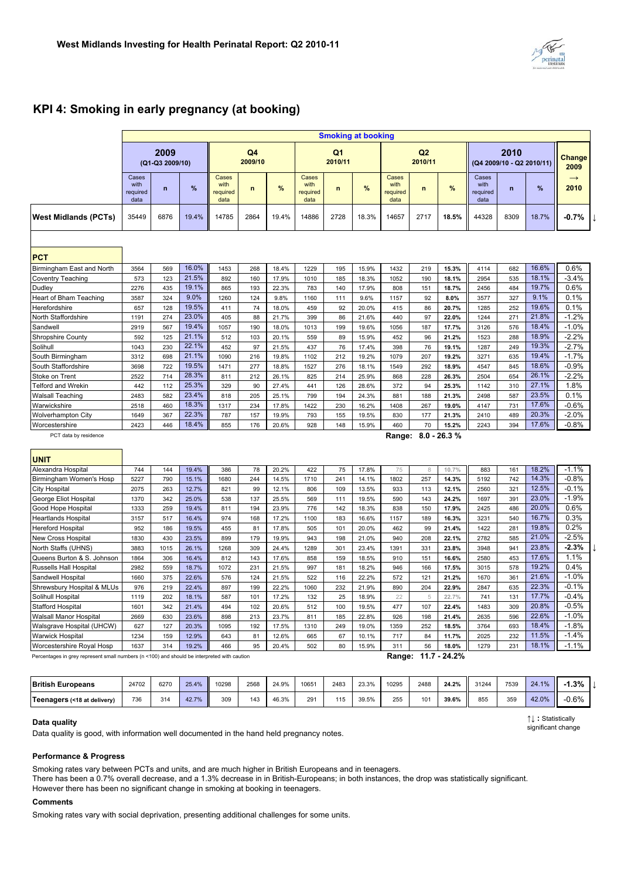## **KPI 4: Smoking in early pregnancy (at booking)**

|                             |                                   |                         |       |                                   |                           |       |                                   |                           | <b>Smoking at booking</b> |                                   |                     |       |                                   |                                   |       |                       |  |
|-----------------------------|-----------------------------------|-------------------------|-------|-----------------------------------|---------------------------|-------|-----------------------------------|---------------------------|---------------------------|-----------------------------------|---------------------|-------|-----------------------------------|-----------------------------------|-------|-----------------------|--|
|                             |                                   | 2009<br>(Q1-Q3 2009/10) |       |                                   | Q <sub>4</sub><br>2009/10 |       |                                   | Q <sub>1</sub><br>2010/11 |                           |                                   | Q2<br>2010/11       |       |                                   | 2010<br>(Q4 2009/10 - Q2 2010/11) |       | <b>Change</b><br>2009 |  |
|                             | Cases<br>with<br>required<br>data | $\mathsf{n}$            | %     | Cases<br>with<br>required<br>data | n                         | %     | Cases<br>with<br>required<br>data | $\mathsf{n}$              | %                         | Cases<br>with<br>required<br>data | n                   | %     | Cases<br>with<br>required<br>data | $\mathsf{n}$                      | %     | $\rightarrow$<br>2010 |  |
| <b>West Midlands (PCTs)</b> | 35449                             | 6876                    | 19.4% | 14785                             | 2864                      | 19.4% | 14886                             | 2728                      | 18.3%                     | 14657                             | 2717                | 18.5% | 44328                             | 8309                              | 18.7% | $-0.7%$               |  |
|                             |                                   |                         |       |                                   |                           |       |                                   |                           |                           |                                   |                     |       |                                   |                                   |       |                       |  |
| <b>PCT</b>                  |                                   |                         |       |                                   |                           |       |                                   |                           |                           |                                   |                     |       |                                   |                                   |       |                       |  |
| Birmingham East and North   | 3564                              | 569                     | 16.0% | 1453                              | 268                       | 18.4% | 1229                              | 195                       | 15.9%                     | 1432                              | 219                 | 15.3% | 4114                              | 682                               | 16.6% | 0.6%                  |  |
| Coventry Teaching           | 573                               | 123                     | 21.5% | 892                               | 160                       | 17.9% | 1010                              | 185                       | 18.3%                     | 1052                              | 190                 | 18.1% | 2954                              | 535                               | 18.1% | $-3.4%$               |  |
| Dudley                      | 2276                              | 435                     | 19.1% | 865                               | 193                       | 22.3% | 783                               | 140                       | 17.9%                     | 808                               | 151                 | 18.7% | 2456                              | 484                               | 19.7% | 0.6%                  |  |
| Heart of Bham Teaching      | 3587                              | 324                     | 9.0%  | 1260                              | 124                       | 9.8%  | 1160                              | 111                       | 9.6%                      | 1157                              | 92                  | 8.0%  | 3577                              | 327                               | 9.1%  | 0.1%                  |  |
| Herefordshire               | 657                               | 128                     | 19.5% | 411                               | 74                        | 18.0% | 459                               | 92                        | 20.0%                     | 415                               | 86                  | 20.7% | 1285                              | 252                               | 19.6% | 0.1%                  |  |
| North Staffordshire         | 1191                              | 274                     | 23.0% | 405                               | 88                        | 21.7% | 399                               | 86                        | 21.6%                     | 440                               | 97                  | 22.0% | 1244                              | 271                               | 21.8% | $-1.2%$               |  |
| Sandwell                    | 2919                              | 567                     | 19.4% | 1057                              | 190                       | 18.0% | 1013                              | 199                       | 19.6%                     | 1056                              | 187                 | 17.7% | 3126                              | 576                               | 18.4% | $-1.0%$               |  |
| <b>Shropshire County</b>    | 592                               | 125                     | 21.1% | 512                               | 103                       | 20.1% | 559                               | 89                        | 15.9%                     | 452                               | 96                  | 21.2% | 1523                              | 288                               | 18.9% | $-2.2%$               |  |
| Solihull                    | 1043                              | 230                     | 22.1% | 452                               | 97                        | 21.5% | 437                               | 76                        | 17.4%                     | 398                               | 76                  | 19.1% | 1287                              | 249                               | 19.3% | $-2.7%$               |  |
| South Birmingham            | 3312                              | 698                     | 21.1% | 1090                              | 216                       | 19.8% | 1102                              | 212                       | 19.2%                     | 1079                              | 207                 | 19.2% | 3271                              | 635                               | 19.4% | $-1.7%$               |  |
| South Staffordshire         | 3698                              | 722                     | 19.5% | 1471                              | 277                       | 18.8% | 1527                              | 276                       | 18.1%                     | 1549                              | 292                 | 18.9% | 4547                              | 845                               | 18.6% | $-0.9%$               |  |
| Stoke on Trent              | 2522                              | 714                     | 28.3% | 811                               | 212                       | 26.1% | 825                               | 214                       | 25.9%                     | 868                               | 228                 | 26.3% | 2504                              | 654                               | 26.1% | $-2.2%$               |  |
| <b>Telford and Wrekin</b>   | 442                               | 112                     | 25.3% | 329                               | 90                        | 27.4% | 441                               | 126                       | 28.6%                     | 372                               | 94                  | 25.3% | 1142                              | 310                               | 27.1% | 1.8%                  |  |
| <b>Walsall Teaching</b>     | 2483                              | 582                     | 23.4% | 818                               | 205                       | 25.1% | 799                               | 194                       | 24.3%                     | 881                               | 188                 | 21.3% | 2498                              | 587                               | 23.5% | 0.1%                  |  |
| Warwickshire                | 2518                              | 460                     | 18.3% | 1317                              | 234                       | 17.8% | 1422                              | 230                       | 16.2%                     | 1408                              | 267                 | 19.0% | 4147                              | 731                               | 17.6% | $-0.6%$               |  |
| <b>Wolverhampton City</b>   | 1649                              | 367                     | 22.3% | 787                               | 157                       | 19.9% | 793                               | 155                       | 19.5%                     | 830                               | 177                 | 21.3% | 2410                              | 489                               | 20.3% | $-2.0%$               |  |
| Worcestershire              | 2423                              | 446                     | 18.4% | 855                               | 176                       | 20.6% | 928                               | 148                       | 15.9%                     | 460                               | 70                  | 15.2% | 2243                              | 394                               | 17.6% | $-0.8%$               |  |
| PCT data by residence       |                                   |                         |       |                                   |                           |       |                                   |                           |                           |                                   | Range: 8.0 - 26.3 % |       |                                   |                                   |       |                       |  |
| <b>UNIT</b>                 |                                   |                         |       |                                   |                           |       |                                   |                           |                           |                                   |                     |       |                                   |                                   |       |                       |  |
| Alexandra Hospital          | 744                               | 144                     | 19.4% | 386                               | 78                        | 20.2% | 422                               | 75                        | 17.8%                     | 75                                | 8                   | 10.7% | 883                               | 161                               | 18.2% | $-1.1%$               |  |
| Birmingham Women's Hosp     | 5227                              | 790                     | 15.1% | 1680                              | 244                       | 14.5% | 1710                              | 241                       | 14.1%                     | 1802                              | 257                 | 14.3% | 5192                              | 742                               | 14.3% | $-0.8%$               |  |
| <b>City Hospital</b>        | 2075                              | 263                     | 12.7% | 821                               | 99                        | 12.1% | 806                               | 109                       | 13.5%                     | 933                               | 113                 | 12.1% | 2560                              | 321                               | 12.5% | $-0.1%$               |  |
| George Eliot Hospital       | 1370                              | 342                     | 25.0% | 538                               | 137                       | 25.5% | 569                               | 111                       | 19.5%                     | 590                               | 143                 | 24.2% | 1697                              | 391                               | 23.0% | $-1.9%$               |  |
| Good Hope Hospital          | 1333                              | 259                     | 19.4% | 811                               | 194                       | 23.9% | 776                               | 142                       | 18.3%                     | 838                               | 150                 | 17.9% | 2425                              | 486                               | 20.0% | 0.6%                  |  |
| <b>Heartlands Hospital</b>  | 3157                              | 517                     | 16.4% | 974                               | 168                       | 17.2% | 1100                              | 183                       | 16.6%                     | 1157                              | 189                 | 16.3% | 3231                              | 540                               | 16.7% | 0.3%                  |  |
| <b>Hereford Hospital</b>    | 952                               | 186                     | 19.5% | 455                               | 81                        | 17.8% | 505                               | 101                       | 20.0%                     | 462                               | 99                  | 21.4% | 1422                              | 281                               | 19.8% | 0.2%                  |  |

Warwick Hospital 1234 159 12.9% 643 81 12.6% 665 67 10.1% 717 84 **11.7%** 2025 232 11.5% -1.4% Worcestershire Royal Hosp 1637 314 19.2% 466 95 20.4% 502 80 15.9% 311 56 **18.0%** 1279 231 18.1% -1.1%

Percentages in grey represent small numbers (n <100) and should be interpreted with caution **Range: 11.7 - 24.2%** 

| <b>British Europeans</b>    | 24702 | 6270 | 25.4% | 10298 | 2568 | 24.9% | 1065' | 2483      | 23.3% | 10295 | 2488 | 24.2% | 31244 | 7539 | $-10/$<br>24.<br>70    | 1.3% |  |
|-----------------------------|-------|------|-------|-------|------|-------|-------|-----------|-------|-------|------|-------|-------|------|------------------------|------|--|
| Teenagers (<18 at delivery) | 736   | 314  | 127%  | 309   | 143  | 46.3% | 291   | 1.4F<br>w | 39.5% | 255   | 101  | 39.6% | 855   | 359  | 42.0%<br>$\frac{1}{2}$ | 0.6% |  |

New Cross Hospital 1830 430 23.5% 899 179 19.9% 943 198 21.0% 208 22.**1%** 2782 585 21.0% -2.5% North Staffs (UHNS) 3883 1015 26.1% 1268 309 24.4% 1289 301 23.4% 1391 331 **23.8%** 3948 941 23.8% **-2.3% ↓**

Russells Hall Hospital 2982 559 18.7% 1072 231 21.5% 997 181 18.2% 946 166 **17.5%** 3015 578 19.2% 0.4% Sandwell Hospital 1660 375 22.6% 576 124 21.5% 522 116 22.2% 572 121 2**1.2%** 1670 361 21.6% -1.0% Shrewsbury Hospital & MLUs 976 219 22.4% 897 199 22.2% 1060 232 21.9% 890 204 **22.9%** 2847 635 22.3% -0.1% Solihull Hospital 1119 202 18.1% 587 101 17.2% 132 25 18.9% 22 5 **22.7%** 741 131 17.7% -0.4% Stafford Hospital 1601 342 21.4% 494 102 20.6% 512 100 19.5% 477 107 **22.4%** 1483 309 20.8% -0.5% Walsall Manor Hospital 2669 630 23.6% 898 213 23.7% 811 185 22.8% 926 198 **21.4%** 2635 596 22.6% -1.0% Walsgrave Hospital (UHCW) 627 127 20.3% 1095 192 17.5% 1310 249 19.0% 1359 252 **18.5%** 3764 693 18.4% -1.8%

Queens Burton & S. Johnson 1864 306 16.4% 812 143 17.6% 858 159 18.5% 910 151 **16.6%** 2580 453 17.6% 1.1%

### **Data quality**

Data quality is good, with information well documented in the hand held pregnancy notes.

### **Performance & Progress**

Smoking rates vary between PCTs and units, and are much higher in British Europeans and in teenagers.

There has been a 0.7% overall decrease, and a 1.3% decrease in in British-Europeans; in both instances, the drop was statistically significant. However there has been no significant change in smoking at booking in teenagers.

### **Comments**

Smoking rates vary with social deprivation, presenting additional challenges for some units.

**↑↓ :** Statistically significant change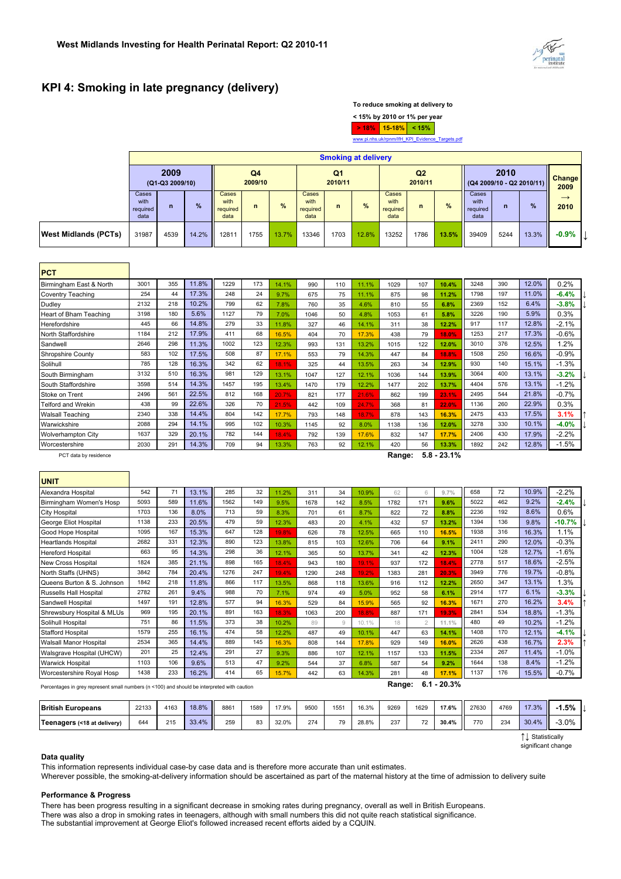significant change

## **KPI 4: Smoking in late pregnancy (delivery)**

| To reduce smoking at delivery to |                       |                                                 |
|----------------------------------|-----------------------|-------------------------------------------------|
| $<$ 15% by 2010 or 1% per year   |                       |                                                 |
|                                  | $> 18\%$ 15-18% < 15% |                                                 |
|                                  |                       | www.pi.nhs.uk/rpnm/lfH KPI Evidence Targets.pdf |

|                             |                                   |                         |       |                                   |               |       |                                   |                           | <b>Smoking at delivery</b> |                                   |                           |               |                                   |              |               |                       |  |
|-----------------------------|-----------------------------------|-------------------------|-------|-----------------------------------|---------------|-------|-----------------------------------|---------------------------|----------------------------|-----------------------------------|---------------------------|---------------|-----------------------------------|--------------|---------------|-----------------------|--|
|                             |                                   | 2009<br>(Q1-Q3 2009/10) |       |                                   | Q4<br>2009/10 |       |                                   | Q <sub>1</sub><br>2010/11 |                            |                                   | Q <sub>2</sub><br>2010/11 |               | $  (Q4 2009/10 - Q2 2010/11)  $   | 2010         |               | <b>Change</b><br>2009 |  |
|                             | Cases<br>with<br>required<br>data | $\mathsf{n}$            | %     | Cases<br>with<br>required<br>data | $\mathbf n$   | %     | Cases<br>with<br>required<br>data | $\mathsf{n}$              | $\frac{9}{6}$              | Cases<br>with<br>required<br>data | $\mathsf{n}$              | $\frac{9}{6}$ | Cases<br>with<br>required<br>data | $\mathsf{n}$ | $\frac{9}{6}$ | $\rightarrow$<br>2010 |  |
| <b>West Midlands (PCTs)</b> | 31987                             | 4539                    | 14.2% | 12811                             | 1755          | 13.7% | 13346                             | 1703                      | 12.8%                      | 13252                             | 1786                      | 13.5%         | 39409                             | 5244         | 13.3%         | $-0.9%$               |  |

| <b>PCT</b>                |      |     |       |      |     |       |      |     |       |        |     |               |      |     |       |         |
|---------------------------|------|-----|-------|------|-----|-------|------|-----|-------|--------|-----|---------------|------|-----|-------|---------|
| Birmingham East & North   | 3001 | 355 | 11.8% | 1229 | 173 | 14.1% | 990  | 110 | 11.1% | 1029   | 107 | 10.4%         | 3248 | 390 | 12.0% | 0.2%    |
| Coventry Teaching         | 254  | 44  | 17.3% | 248  | 24  | 9.7%  | 675  | 75  | 11.1% | 875    | 98  | 11.2%         | 1798 | 197 | 11.0% | $-6.4%$ |
| Dudley                    | 2132 | 218 | 10.2% | 799  | 62  | 7.8%  | 760  | 35  | 4.6%  | 810    | 55  | 6.8%          | 2369 | 152 | 6.4%  | $-3.8%$ |
| Heart of Bham Teaching    | 3198 | 180 | 5.6%  | 1127 | 79  | 7.0%  | 1046 | 50  | 4.8%  | 1053   | 61  | 5.8%          | 3226 | 190 | 5.9%  | 0.3%    |
| Herefordshire             | 445  | 66  | 14.8% | 279  | 33  | 11.8% | 327  | 46  | 14.1% | 311    | 38  | 12.2%         | 917  | 117 | 12.8% | $-2.1%$ |
| North Staffordshire       | 1184 | 212 | 17.9% | 411  | 68  | 16.5% | 404  | 70  | 17.3% | 438    | 79  | 18.0%         | 1253 | 217 | 17.3% | $-0.6%$ |
| Sandwell                  | 2646 | 298 | 11.3% | 1002 | 123 | 12.3% | 993  | 131 | 13.2% | 1015   | 122 | 12.0%         | 3010 | 376 | 12.5% | .2%     |
| <b>Shropshire County</b>  | 583  | 102 | 17.5% | 508  | 87  | 17.1% | 553  | 79  | 14.3% | 447    | 84  | 18.8%         | 1508 | 250 | 16.6% | $-0.9%$ |
| Solihull                  | 785  | 128 | 16.3% | 342  | 62  | 18.1% | 325  | 44  | 13.5% | 263    | 34  | 12.9%         | 930  | 140 | 15.1% | $-1.3%$ |
| South Birmingham          | 3132 | 510 | 16.3% | 981  | 129 | 13.1% | 1047 | 127 | 12.1% | 1036   | 144 | 13.9%         | 3064 | 400 | 13.1% | $-3.2%$ |
| South Staffordshire       | 3598 | 514 | 14.3% | 1457 | 195 | 13.4% | 1470 | 179 | 12.2% | 1477   | 202 | 13.7%         | 4404 | 576 | 13.1% | $-1.2%$ |
| Stoke on Trent            | 2496 | 561 | 22.5% | 812  | 168 | 20.7% | 821  | 177 | 21.6% | 862    | 199 | 23.1%         | 2495 | 544 | 21.8% | $-0.7%$ |
| Telford and Wrekin        | 438  | 99  | 22.6% | 326  | 70  | 21.5% | 442  | 109 | 24.7% | 368    | 81  | 22.0%         | 1136 | 260 | 22.9% | 0.3%    |
| <b>Walsall Teaching</b>   | 2340 | 338 | 14.4% | 804  | 142 | 17.7% | 793  | 148 | 18.7% | 878    | 143 | 16.3%         | 2475 | 433 | 17.5% | 3.1%    |
| Warwickshire              | 2088 | 294 | 14.1% | 995  | 102 | 10.3% | 1145 | 92  | 8.0%  | 1138   | 136 | 12.0%         | 3278 | 330 | 10.1% | $-4.0%$ |
| <b>Wolverhampton City</b> | 1637 | 329 | 20.1% | 782  | 144 | 18.4% | 792  | 139 | 17.6% | 832    | 147 | 17.7%         | 2406 | 430 | 17.9% | $-2.2%$ |
| Worcestershire            | 2030 | 291 | 14.3% | 709  | 94  | 13.3% | 763  | 92  | 12.1% | 420    | 56  | 13.3%         | 1892 | 242 | 12.8% | $-1.5%$ |
| PCT data by residence     |      |     |       |      |     |       |      |     |       | Range: |     | $5.8 - 23.1%$ |      |     |       |         |

| <b>UNIT</b>             |      |     |                   |      |     |      |      |     |           |      |     |      |          |     |          |         |
|-------------------------|------|-----|-------------------|------|-----|------|------|-----|-----------|------|-----|------|----------|-----|----------|---------|
| Alexandra Hospital      | 542  |     | 3.1%              | 285  | 32  | 1.2% | 311  | 34  | 10.9%     | 62   |     | 70   | 658<br>Ш | 72  | 10.9%    | $-2.2%$ |
| Birmingham Women's Hosp | 5093 | 589 | 11.6%             | 1562 | 149 | 9.5% | 1678 | 142 | 8.5%      | 1782 | 171 | 9.6% | 5022     | 462 | 9.2%     | $-2.4%$ |
| City Hoepital           | 1703 | 136 | 9.00 <sub>4</sub> | 712  | 59  | 0.20 | 701  | 61  | $Q = 70/$ | 022  | 72  | 0.00 | 2236     | 192 | $R$ $6%$ | 0.6%    |

| Birmingham Women's Hosp                                                                     | 5093 | 589 | 11.6% | 1562 | 149 | 9.5%  | 1678 | 142 | 8.5%  | 1782   | 171            | 9.6%          | 5022 | 462 | 9.2%  | $-2.4\%$ |  |
|---------------------------------------------------------------------------------------------|------|-----|-------|------|-----|-------|------|-----|-------|--------|----------------|---------------|------|-----|-------|----------|--|
| <b>City Hospital</b>                                                                        | 1703 | 136 | 8.0%  | 713  | 59  | 8.3%  | 701  | 61  | 8.7%  | 822    | 72             | 8.8%          | 2236 | 192 | 8.6%  | 0.6%     |  |
| George Eliot Hospital                                                                       | 1138 | 233 | 20.5% | 479  | 59  | 12.3% | 483  | 20  | 4.1%  | 432    | 57             | 13.2%         | 1394 | 136 | 9.8%  | $-10.7%$ |  |
| Good Hope Hospital                                                                          | 1095 | 167 | 15.3% | 647  | 128 | 19.8% | 626  | 78  | 12.5% | 665    | 110            | 16.5%         | 1938 | 316 | 16.3% | 1.1%     |  |
| <b>Heartlands Hospital</b>                                                                  | 2682 | 331 | 12.3% | 890  | 123 | 13.8% | 815  | 103 | 12.6% | 706    | 64             | 9.1%          | 2411 | 290 | 12.0% | $-0.3%$  |  |
| <b>Hereford Hospital</b>                                                                    | 663  | 95  | 14.3% | 298  | 36  | 12.1% | 365  | 50  | 13.7% | 341    | 42             | 12.3%         | 1004 | 128 | 12.7% | $-1.6%$  |  |
| New Cross Hospital                                                                          | 1824 | 385 | 21.1% | 898  | 165 | 18.4% | 943  | 180 | 19.1% | 937    | 172            | 18.4%         | 2778 | 517 | 18.6% | $-2.5%$  |  |
| North Staffs (UHNS)                                                                         | 3842 | 784 | 20.4% | 1276 | 247 | 19.4% | 1290 | 248 | 19.2% | 1383   | 281            | 20.3%         | 3949 | 776 | 19.7% | $-0.8%$  |  |
| Queens Burton & S. Johnson                                                                  | 1842 | 218 | 11.8% | 866  | 117 | 13.5% | 868  | 118 | 13.6% | 916    | 112            | 12.2%         | 2650 | 347 | 13.1% | 1.3%     |  |
| Russells Hall Hospital                                                                      | 2782 | 261 | 9.4%  | 988  | 70  | 7.1%  | 974  | 49  | 5.0%  | 952    | 58             | 6.1%          | 2914 | 177 | 6.1%  | $-3.3%$  |  |
| Sandwell Hospital                                                                           | 1497 | 191 | 12.8% | 577  | 94  | 16.3% | 529  | 84  | 15.9% | 565    | 92             | 16.3%         | 1671 | 270 | 16.2% | 3.4%     |  |
| Shrewsbury Hospital & MLUs                                                                  | 969  | 195 | 20.1% | 891  | 163 | 18.3% | 1063 | 200 | 18.8% | 887    | 171            | 19.3%         | 2841 | 534 | 18.8% | $-1.3%$  |  |
| Solihull Hospital                                                                           | 751  | 86  | 11.5% | 373  | 38  | 10.2% | 89   | 9   | 10.1% | 18     | $\overline{2}$ | 11.1%         | 480  | 49  | 10.2% | $-1.2%$  |  |
| <b>Stafford Hospital</b>                                                                    | 1579 | 255 | 16.1% | 474  | 58  | 12.2% | 487  | 49  | 10.1% | 447    | 63             | 14.1%         | 1408 | 170 | 12.1% | $-4.1%$  |  |
| Walsall Manor Hospital                                                                      | 2534 | 365 | 14.4% | 889  | 145 | 16.3% | 808  | 144 | 17.8% | 929    | 149            | 16.0%         | 2626 | 438 | 16.7% | 2.3%     |  |
| Walsgrave Hospital (UHCW)                                                                   | 201  | 25  | 12.4% | 291  | 27  | 9.3%  | 886  | 107 | 12.1% | 1157   | 133            | 11.5%         | 2334 | 267 | 11.4% | $-1.0%$  |  |
| <b>Warwick Hospital</b>                                                                     | 1103 | 106 | 9.6%  | 513  | 47  | 9.2%  | 544  | 37  | 6.8%  | 587    | 54             | 9.2%          | 1644 | 138 | 8.4%  | $-1.2%$  |  |
| Worcestershire Royal Hosp                                                                   | 1438 | 233 | 16.2% | 414  | 65  | 15.7% | 442  | 63  | 14.3% | 281    | 48             | 17.1%         | 1137 | 176 | 15.5% | $-0.7%$  |  |
| Percentages in grey represent small numbers (n <100) and should be interpreted with caution |      |     |       |      |     |       |      |     |       | Range: |                | $6.1 - 20.3%$ |      |     |       |          |  |

| <b>British Europeans</b>    | 22133 | 4163 | 18.8% | 886' | 1589 | 17.9% | 9500 | 1551 | 16.3% | 9269 | 1629           | 17.6% | 27630 | 4769 | 17.3%         | 1.5%     |  |
|-----------------------------|-------|------|-------|------|------|-------|------|------|-------|------|----------------|-------|-------|------|---------------|----------|--|
| Teenagers (<18 at delivery) | 644   | 215  | 33.4% | 259  | 83   | 32.0% | 274  | 79   | 28.8% | 237  | $\overline{ }$ | 30.4% | 770   | 234  | 30.4%         | $-3.0\%$ |  |
|                             |       |      |       |      |      |       |      |      |       |      |                |       |       |      | Statistically |          |  |

### **Data quality**

This information represents individual case-by case data and is therefore more accurate than unit estimates.

Wherever possible, the smoking-at-delivery information should be ascertained as part of the maternal history at the time of admission to delivery suite

### **Performance & Progress**

There was also a drop in smoking rates in teenagers, although with small numbers this did not quite reach statistical significance.<br>The substantial improvement at George Eliot's followed increased recent efforts aided by a There has been progress resulting in a significant decrease in smoking rates during pregnancy, overall as well in British Europeans.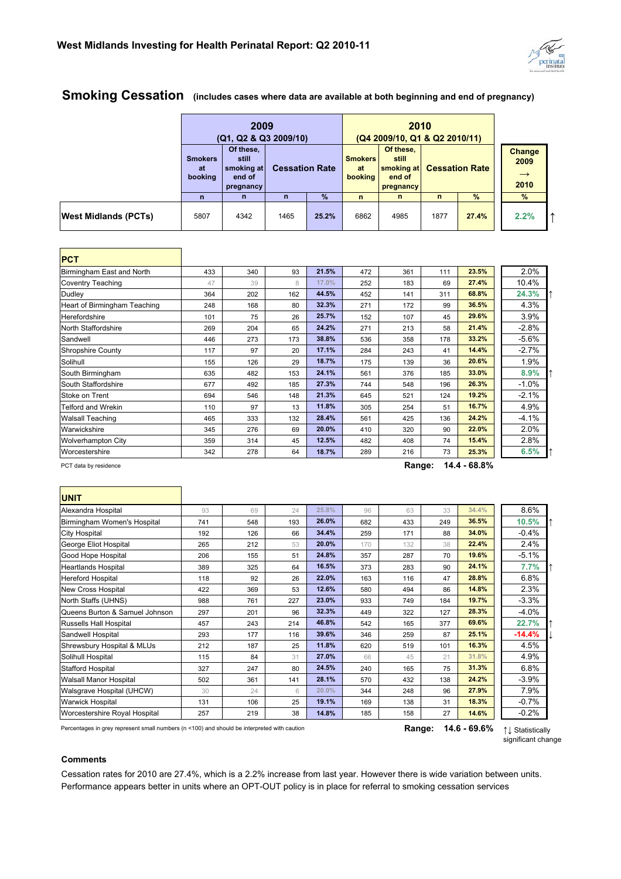

## **Smoking Cessation (includes cases where data are available at both beginning and end of pregnancy)**

|                      |                                 | 2009<br>(Q1, Q2 & Q3 2009/10)                           |                       |       |                                        | 2010<br>(Q4 2009/10, Q1 & Q2 2010/11)                   |                       |       |                                         |   |
|----------------------|---------------------------------|---------------------------------------------------------|-----------------------|-------|----------------------------------------|---------------------------------------------------------|-----------------------|-------|-----------------------------------------|---|
|                      | <b>Smokers</b><br>at<br>booking | Of these,<br>still<br>smoking at<br>end of<br>pregnancy | <b>Cessation Rate</b> |       | <b>Smokers</b><br>at<br><b>booking</b> | Of these,<br>still<br>smoking at<br>end of<br>pregnancy | <b>Cessation Rate</b> |       | Change<br>2009<br>$\rightarrow$<br>2010 |   |
|                      | n                               | n                                                       | n                     | $\%$  | $\mathbf n$                            | n                                                       | n                     | %     | $\frac{9}{6}$                           |   |
| West Midlands (PCTs) | 5807                            | 4342                                                    | 1465                  | 25.2% | 6862                                   | 4985                                                    | 1877                  | 27.4% | 2.2%                                    | ᠰ |

| <b>PCT</b>                   |     |     |     |       |     |     |     |       |         |  |
|------------------------------|-----|-----|-----|-------|-----|-----|-----|-------|---------|--|
| Birmingham East and North    | 433 | 340 | 93  | 21.5% | 472 | 361 | 111 | 23.5% | 2.0%    |  |
| Coventry Teaching            | 47  | 39  | 8   | 17.0% | 252 | 183 | 69  | 27.4% | 10.4%   |  |
| Dudley                       | 364 | 202 | 162 | 44.5% | 452 | 141 | 311 | 68.8% | 24.3%   |  |
| Heart of Birmingham Teaching | 248 | 168 | 80  | 32.3% | 271 | 172 | 99  | 36.5% | 4.3%    |  |
| <b>Herefordshire</b>         | 101 | 75  | 26  | 25.7% | 152 | 107 | 45  | 29.6% | 3.9%    |  |
| North Staffordshire          | 269 | 204 | 65  | 24.2% | 271 | 213 | 58  | 21.4% | $-2.8%$ |  |
| Sandwell                     | 446 | 273 | 173 | 38.8% | 536 | 358 | 178 | 33.2% | $-5.6%$ |  |
| Shropshire County            | 117 | 97  | 20  | 17.1% | 284 | 243 | 41  | 14.4% | $-2.7%$ |  |
| Solihull                     | 155 | 126 | 29  | 18.7% | 175 | 139 | 36  | 20.6% | 1.9%    |  |
| South Birmingham             | 635 | 482 | 153 | 24.1% | 561 | 376 | 185 | 33.0% | 8.9%    |  |
| South Staffordshire          | 677 | 492 | 185 | 27.3% | 744 | 548 | 196 | 26.3% | $-1.0%$ |  |
| Stoke on Trent               | 694 | 546 | 148 | 21.3% | 645 | 521 | 124 | 19.2% | $-2.1%$ |  |
| <b>Telford and Wrekin</b>    | 110 | 97  | 13  | 11.8% | 305 | 254 | 51  | 16.7% | 4.9%    |  |
| <b>Walsall Teaching</b>      | 465 | 333 | 132 | 28.4% | 561 | 425 | 136 | 24.2% | $-4.1%$ |  |
| Warwickshire                 | 345 | 276 | 69  | 20.0% | 410 | 320 | 90  | 22.0% | 2.0%    |  |
| <b>Wolverhampton City</b>    | 359 | 314 | 45  | 12.5% | 482 | 408 | 74  | 15.4% | 2.8%    |  |
| Worcestershire               | 342 | 278 | 64  | 18.7% | 289 | 216 | 73  | 25.3% | 6.5%    |  |

PCT data by residence

 **Range: 14.4 - 68.8%**

| <b>UNIT</b>                    |     |     |     |       |     |     |     |       |          |  |
|--------------------------------|-----|-----|-----|-------|-----|-----|-----|-------|----------|--|
| Alexandra Hospital             | 93  | 69  | 24  | 25.8% | 96  | 63  | 33  | 34.4% | 8.6%     |  |
| Birmingham Women's Hospital    | 741 | 548 | 193 | 26.0% | 682 | 433 | 249 | 36.5% | 10.5%    |  |
| <b>City Hospital</b>           | 192 | 126 | 66  | 34.4% | 259 | 171 | 88  | 34.0% | $-0.4%$  |  |
| George Eliot Hospital          | 265 | 212 | 53  | 20.0% | 170 | 132 | 38  | 22.4% | 2.4%     |  |
| Good Hope Hospital             | 206 | 155 | 51  | 24.8% | 357 | 287 | 70  | 19.6% | $-5.1%$  |  |
| <b>Heartlands Hospital</b>     | 389 | 325 | 64  | 16.5% | 373 | 283 | 90  | 24.1% | 7.7%     |  |
| <b>Hereford Hospital</b>       | 118 | 92  | 26  | 22.0% | 163 | 116 | 47  | 28.8% | 6.8%     |  |
| New Cross Hospital             | 422 | 369 | 53  | 12.6% | 580 | 494 | 86  | 14.8% | 2.3%     |  |
| North Staffs (UHNS)            | 988 | 761 | 227 | 23.0% | 933 | 749 | 184 | 19.7% | $-3.3%$  |  |
| Queens Burton & Samuel Johnson | 297 | 201 | 96  | 32.3% | 449 | 322 | 127 | 28.3% | $-4.0%$  |  |
| Russells Hall Hospital         | 457 | 243 | 214 | 46.8% | 542 | 165 | 377 | 69.6% | 22.7%    |  |
| Sandwell Hospital              | 293 | 177 | 116 | 39.6% | 346 | 259 | 87  | 25.1% | $-14.4%$ |  |
| Shrewsbury Hospital & MLUs     | 212 | 187 | 25  | 11.8% | 620 | 519 | 101 | 16.3% | 4.5%     |  |
| Solihull Hospital              | 115 | 84  | 31  | 27.0% | 66  | 45  | 21  | 31.8% | 4.9%     |  |
| <b>Stafford Hospital</b>       | 327 | 247 | 80  | 24.5% | 240 | 165 | 75  | 31.3% | 6.8%     |  |
| <b>Walsall Manor Hospital</b>  | 502 | 361 | 141 | 28.1% | 570 | 432 | 138 | 24.2% | $-3.9%$  |  |
| Walsgrave Hospital (UHCW)      | 30  | 24  | 6   | 20.0% | 344 | 248 | 96  | 27.9% | 7.9%     |  |
| <b>Warwick Hospital</b>        | 131 | 106 | 25  | 19.1% | 169 | 138 | 31  | 18.3% | $-0.7%$  |  |
| Worcestershire Royal Hospital  | 257 | 219 | 38  | 14.8% | 185 | 158 | 27  | 14.6% | $-0.2%$  |  |

Percentages in grey represent small numbers (n <100) and should be interpreted with caution

**Range: 14.6 - 69.6%** ↑↓ Statistically

significant change

## **Comments**

Cessation rates for 2010 are 27.4%, which is a 2.2% increase from last year. However there is wide variation between units. Performance appears better in units where an OPT-OUT policy is in place for referral to smoking cessation services